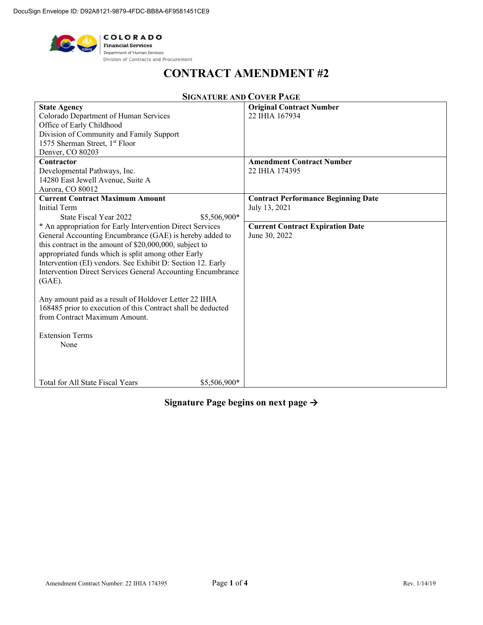

# **CONTRACT AMENDMENT #2**

| <b>State Agency</b>                                          | <b>Original Contract Number</b>            |
|--------------------------------------------------------------|--------------------------------------------|
| Colorado Department of Human Services                        | 22 IHIA 167934                             |
| Office of Early Childhood                                    |                                            |
| Division of Community and Family Support                     |                                            |
| 1575 Sherman Street, 1 <sup>st</sup> Floor                   |                                            |
| Denver, CO 80203                                             |                                            |
| Contractor                                                   | <b>Amendment Contract Number</b>           |
| Developmental Pathways, Inc.                                 | 22 IHIA 174395                             |
| 14280 East Jewell Avenue, Suite A                            |                                            |
| Aurora, CO 80012                                             |                                            |
| <b>Current Contract Maximum Amount</b>                       | <b>Contract Performance Beginning Date</b> |
| Initial Term                                                 | July 13, 2021                              |
| State Fiscal Year 2022<br>\$5,506,900*                       |                                            |
| * An appropriation for Early Intervention Direct Services    | <b>Current Contract Expiration Date</b>    |
| General Accounting Encumbrance (GAE) is hereby added to      | June 30, 2022                              |
| this contract in the amount of \$20,000,000, subject to      |                                            |
| appropriated funds which is split among other Early          |                                            |
| Intervention (EI) vendors. See Exhibit D: Section 12. Early  |                                            |
| Intervention Direct Services General Accounting Encumbrance  |                                            |
| $(GAE)$ .                                                    |                                            |
|                                                              |                                            |
| Any amount paid as a result of Holdover Letter 22 IHIA       |                                            |
| 168485 prior to execution of this Contract shall be deducted |                                            |
| from Contract Maximum Amount.                                |                                            |
|                                                              |                                            |
| <b>Extension Terms</b>                                       |                                            |
| None                                                         |                                            |
|                                                              |                                            |
|                                                              |                                            |
|                                                              |                                            |
| \$5,506,900*<br>Total for All State Fiscal Years             |                                            |

# **SIGNATURE AND COVER PAGE**

# **Signature Page begins on next page →**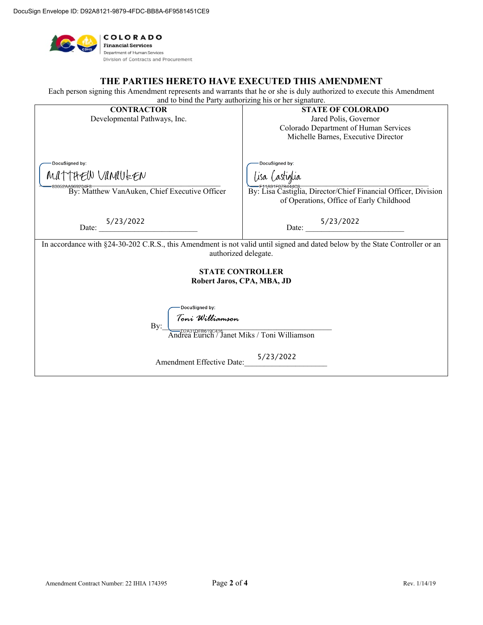

#### **THE PARTIES HERETO HAVE EXECUTED THIS AMENDMENT**

Each person signing this Amendment represents and warrants that he or she is duly authorized to execute this Amendment and to bind the Party authorizing his or her signature.

| <b>CONTRACTOR</b>                                                                                                            | <b>STATE OF COLORADO</b>                                                           |  |  |  |
|------------------------------------------------------------------------------------------------------------------------------|------------------------------------------------------------------------------------|--|--|--|
| Developmental Pathways, Inc.                                                                                                 | Jared Polis, Governor                                                              |  |  |  |
|                                                                                                                              | Colorado Department of Human Services                                              |  |  |  |
|                                                                                                                              | Michelle Barnes, Executive Director                                                |  |  |  |
|                                                                                                                              |                                                                                    |  |  |  |
|                                                                                                                              |                                                                                    |  |  |  |
| DocuSigned by:                                                                                                               | DocuSigned by:                                                                     |  |  |  |
| MATTHEW VANAULEN                                                                                                             | lisa <i>Castiglia</i>                                                              |  |  |  |
|                                                                                                                              |                                                                                    |  |  |  |
| By: Matthew VanAuken, Chief Executive Officer                                                                                | E11A91F07B444c8.<br>By: Lisa Castiglia, Director/Chief Financial Officer, Division |  |  |  |
|                                                                                                                              | of Operations, Office of Early Childhood                                           |  |  |  |
|                                                                                                                              |                                                                                    |  |  |  |
|                                                                                                                              |                                                                                    |  |  |  |
| 5/23/2022<br>Date:                                                                                                           | Date: $\frac{5/23/2022}{2}$                                                        |  |  |  |
|                                                                                                                              |                                                                                    |  |  |  |
| In accordance with §24-30-202 C.R.S., this Amendment is not valid until signed and dated below by the State Controller or an |                                                                                    |  |  |  |
| authorized delegate.                                                                                                         |                                                                                    |  |  |  |
|                                                                                                                              |                                                                                    |  |  |  |
| <b>STATE CONTROLLER</b>                                                                                                      |                                                                                    |  |  |  |
| Robert Jaros, CPA, MBA, JD                                                                                                   |                                                                                    |  |  |  |
|                                                                                                                              |                                                                                    |  |  |  |
| DocuSigned by:                                                                                                               |                                                                                    |  |  |  |
|                                                                                                                              |                                                                                    |  |  |  |
| Bv:                                                                                                                          |                                                                                    |  |  |  |
| <i>Toni Williamson</i><br>—p2^31pE8\$19c416<br>ndrea Eurich / Janet Miks / Toni Williamson                                   |                                                                                    |  |  |  |
|                                                                                                                              |                                                                                    |  |  |  |
|                                                                                                                              |                                                                                    |  |  |  |
| Amendment Effective Date:                                                                                                    | 5/23/2022                                                                          |  |  |  |
|                                                                                                                              |                                                                                    |  |  |  |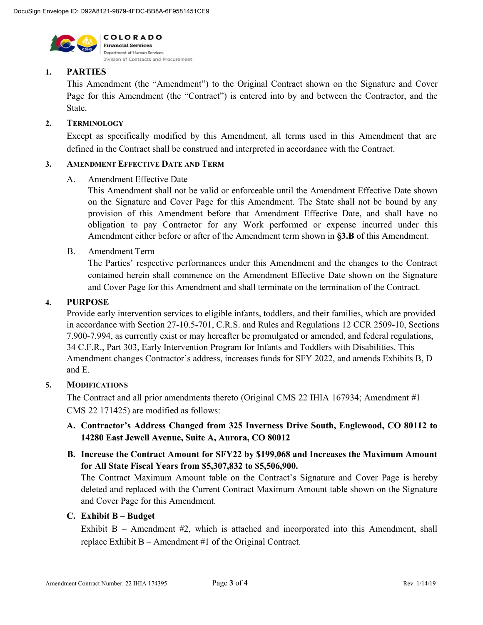

#### **1. PARTIES**

This Amendment (the "Amendment") to the Original Contract shown on the Signature and Cover Page for this Amendment (the "Contract") is entered into by and between the Contractor, and the State.

#### **2. TERMINOLOGY**

Except as specifically modified by this Amendment, all terms used in this Amendment that are defined in the Contract shall be construed and interpreted in accordance with the Contract.

#### **3. AMENDMENT EFFECTIVE DATE AND TERM**

#### A. Amendment Effective Date

This Amendment shall not be valid or enforceable until the Amendment Effective Date shown on the Signature and Cover Page for this Amendment. The State shall not be bound by any provision of this Amendment before that Amendment Effective Date, and shall have no obligation to pay Contractor for any Work performed or expense incurred under this Amendment either before or after of the Amendment term shown in **§3.B** of this Amendment.

B. Amendment Term

The Parties' respective performances under this Amendment and the changes to the Contract contained herein shall commence on the Amendment Effective Date shown on the Signature and Cover Page for this Amendment and shall terminate on the termination of the Contract.

#### **4. PURPOSE**

Provide early intervention services to eligible infants, toddlers, and their families, which are provided in accordance with Section 27-10.5-701, C.R.S. and Rules and Regulations 12 CCR 2509-10, Sections 7.900-7.994, as currently exist or may hereafter be promulgated or amended, and federal regulations, 34 C.F.R., Part 303, Early Intervention Program for Infants and Toddlers with Disabilities. This Amendment changes Contractor's address, increases funds for SFY 2022, and amends Exhibits B, D and E.

#### **5. MODIFICATIONS**

The Contract and all prior amendments thereto (Original CMS 22 IHIA 167934; Amendment #1 CMS 22 171425) are modified as follows:

# **A. Contractor's Address Changed from 325 Inverness Drive South, Englewood, CO 80112 to 14280 East Jewell Avenue, Suite A, Aurora, CO 80012**

**B. Increase the Contract Amount for SFY22 by \$199,068 and Increases the Maximum Amount for All State Fiscal Years from \$5,307,832 to \$5,506,900.**

The Contract Maximum Amount table on the Contract's Signature and Cover Page is hereby deleted and replaced with the Current Contract Maximum Amount table shown on the Signature and Cover Page for this Amendment.

#### **C. Exhibit B – Budget**

Exhibit  $B -$  Amendment  $#2$ , which is attached and incorporated into this Amendment, shall replace Exhibit B – Amendment #1 of the Original Contract.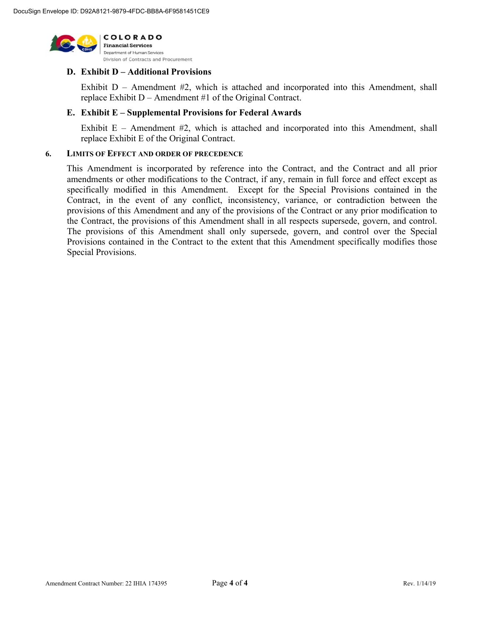

# **D. Exhibit D – Additional Provisions**

Exhibit  $D$  – Amendment  $#2$ , which is attached and incorporated into this Amendment, shall replace Exhibit D – Amendment #1 of the Original Contract.

#### **E. Exhibit E – Supplemental Provisions for Federal Awards**

Exhibit  $E -$  Amendment  $#2$ , which is attached and incorporated into this Amendment, shall replace Exhibit E of the Original Contract.

#### **6. LIMITS OF EFFECT AND ORDER OF PRECEDENCE**

This Amendment is incorporated by reference into the Contract, and the Contract and all prior amendments or other modifications to the Contract, if any, remain in full force and effect except as specifically modified in this Amendment. Except for the Special Provisions contained in the Contract, in the event of any conflict, inconsistency, variance, or contradiction between the provisions of this Amendment and any of the provisions of the Contract or any prior modification to the Contract, the provisions of this Amendment shall in all respects supersede, govern, and control. The provisions of this Amendment shall only supersede, govern, and control over the Special Provisions contained in the Contract to the extent that this Amendment specifically modifies those Special Provisions.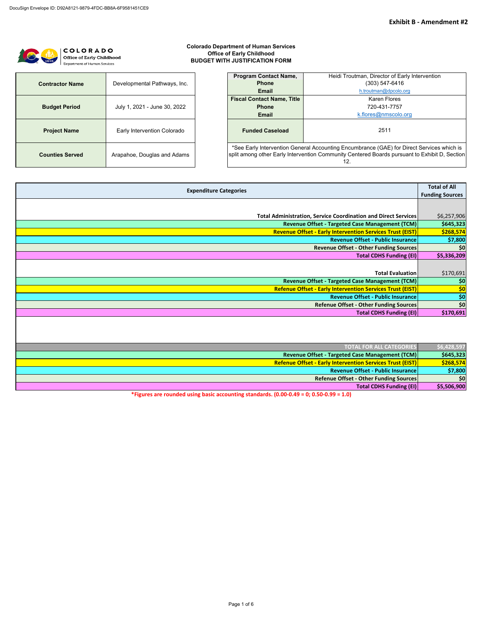# COLORADO Office of Early Childhood Department of Human Services

# **Colorado Department of Human Services Office of Early Childhood BUDGET WITH JUSTIFICATION FORM**

| <b>Contractor Name</b> | Developmental Pathways, Inc. |  |  |  |  |
|------------------------|------------------------------|--|--|--|--|
| <b>Budget Period</b>   | July 1, 2021 - June 30, 2022 |  |  |  |  |
| <b>Project Name</b>    | Early Intervention Colorado  |  |  |  |  |
| <b>Counties Served</b> | Arapahoe, Douglas and Adams  |  |  |  |  |

| <b>Program Contact Name,</b><br>Heidi Troutman, Director of Early Intervention                                                                                                                    |                       |  |  |  |
|---------------------------------------------------------------------------------------------------------------------------------------------------------------------------------------------------|-----------------------|--|--|--|
| <b>Phone</b><br>(303) 547-6416                                                                                                                                                                    |                       |  |  |  |
| <b>Email</b>                                                                                                                                                                                      | h.troutman@dpcolo.org |  |  |  |
| <b>Fiscal Contact Name, Title</b>                                                                                                                                                                 | Karen Flores          |  |  |  |
| <b>Phone</b>                                                                                                                                                                                      | 720-431-7757          |  |  |  |
| k.flores@nmscolo.org<br><b>Email</b>                                                                                                                                                              |                       |  |  |  |
| <b>Funded Caseload</b><br>2511                                                                                                                                                                    |                       |  |  |  |
| *See Early Intervention General Accounting Encumbrance (GAE) for Direct Services which is<br>split among other Early Intervention Community Centered Boards pursuant to Exhibit D, Section<br>12. |                       |  |  |  |

| <b>Expenditure Categories</b>                                         | <b>Total of All</b><br><b>Funding Sources</b> |
|-----------------------------------------------------------------------|-----------------------------------------------|
|                                                                       |                                               |
|                                                                       |                                               |
| <b>Total Administration, Service Coordination and Direct Services</b> | \$6,257,906                                   |
| Revenue Offset - Targeted Case Management (TCM)                       | \$645,323                                     |
| <b>Revenue Offset - Early Intervention Services Trust (EIST)</b>      | \$268,574                                     |
| <b>Revenue Offset - Public Insurance</b>                              | \$7,800                                       |
| <b>Revenue Offset - Other Funding Sources</b>                         | \$0                                           |
| <b>Total CDHS Funding (EI)</b>                                        | \$5,336,209                                   |
|                                                                       |                                               |
| <b>Total Evaluation</b>                                               | \$170,691                                     |
| Revenue Offset - Targeted Case Management (TCM)                       | \$0                                           |
| <b>Refenue Offset - Early Intervention Services Trust (EIST)</b>      | \$0                                           |
| Revenue Offset - Public Insurance                                     | \$0                                           |
| <b>Refenue Offset - Other Funding Sources</b>                         | \$0                                           |
| <b>Total CDHS Funding (EI)</b>                                        | \$170,691                                     |
|                                                                       |                                               |

| \$6,428,597 | <b>TOTAL FOR ALL CATEGORIES</b>                                                                                                                                                                                                                                                                                                           |
|-------------|-------------------------------------------------------------------------------------------------------------------------------------------------------------------------------------------------------------------------------------------------------------------------------------------------------------------------------------------|
| \$645,323   | Revenue Offset - Targeted Case Management (TCM)                                                                                                                                                                                                                                                                                           |
| \$268,574   | <b>Refenue Offset - Early Intervention Services Trust (EIST)</b>                                                                                                                                                                                                                                                                          |
| \$7,800     | <b>Revenue Offset - Public Insurance</b>                                                                                                                                                                                                                                                                                                  |
| \$0         | Refenue Offset - Other Funding Sources                                                                                                                                                                                                                                                                                                    |
| \$5,506,900 | <b>Total CDHS Funding (EI)</b>                                                                                                                                                                                                                                                                                                            |
|             | $\mathbf{a}$ $\mathbf{b}$ $\mathbf{c}$ $\mathbf{d}$ $\mathbf{c}$ $\mathbf{d}$ $\mathbf{e}$ $\mathbf{e}$ $\mathbf{e}$ $\mathbf{e}$ $\mathbf{e}$ $\mathbf{e}$ $\mathbf{e}$ $\mathbf{e}$ $\mathbf{e}$ $\mathbf{e}$ $\mathbf{e}$ $\mathbf{e}$ $\mathbf{e}$ $\mathbf{e}$ $\mathbf{e}$ $\mathbf{e}$ $\mathbf{e}$ $\mathbf{e}$ $\mathbf{$<br>--- |

**\*Figures are rounded using basic accounting standards. (0.00-0.49 = 0; 0.50-0.99 = 1.0)**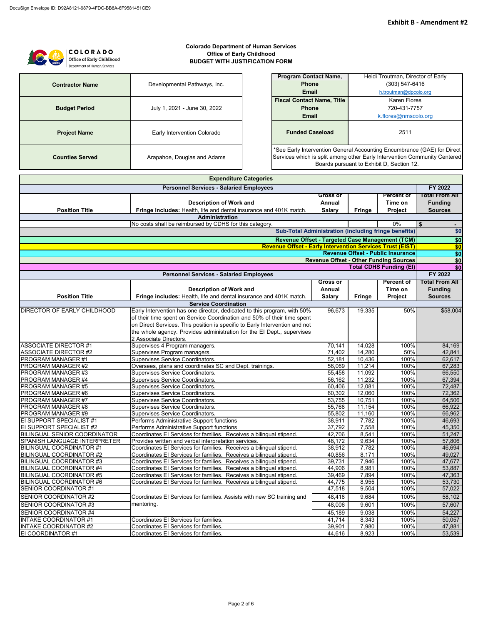| <b>COLORADO</b><br>Office of Early Childhood<br>Department of Human Services | <b>Colorado Department of Human Services</b><br><b>Office of Early Childhood</b><br><b>BUDGET WITH JUSTIFICATION FORM</b> |                                                                                                                                                                                                   |                 |               |                                                             |                |
|------------------------------------------------------------------------------|---------------------------------------------------------------------------------------------------------------------------|---------------------------------------------------------------------------------------------------------------------------------------------------------------------------------------------------|-----------------|---------------|-------------------------------------------------------------|----------------|
|                                                                              |                                                                                                                           | <b>Program Contact Name,</b>                                                                                                                                                                      |                 |               | Heidi Troutman, Director of Early                           |                |
| <b>Contractor Name</b>                                                       | Developmental Pathways, Inc.                                                                                              | <b>Phone</b>                                                                                                                                                                                      |                 |               | $(303) 547 - 6416$                                          |                |
|                                                                              |                                                                                                                           | <b>Email</b>                                                                                                                                                                                      |                 |               | h.troutman@dpcolo.org                                       |                |
|                                                                              |                                                                                                                           | <b>Fiscal Contact Name, Title</b>                                                                                                                                                                 |                 |               | <b>Karen Flores</b>                                         |                |
| <b>Budget Period</b>                                                         | July 1, 2021 - June 30, 2022                                                                                              | <b>Phone</b>                                                                                                                                                                                      |                 |               | 720-431-7757                                                |                |
|                                                                              |                                                                                                                           | <b>Email</b>                                                                                                                                                                                      |                 |               | k.flores@nmscolo.org                                        |                |
| <b>Project Name</b>                                                          | Early Intervention Colorado                                                                                               | <b>Funded Caseload</b><br>2511                                                                                                                                                                    |                 |               |                                                             |                |
| <b>Counties Served</b>                                                       | Arapahoe, Douglas and Adams                                                                                               | *See Early Intervention General Accounting Encumbrance (GAE) for Direct<br>Services which is split among other Early Intervention Community Centered<br>Boards pursuant to Exhibit D, Section 12. |                 |               |                                                             |                |
|                                                                              | <b>Expenditure Categories</b>                                                                                             |                                                                                                                                                                                                   |                 |               |                                                             |                |
|                                                                              | <b>Personnel Services - Salaried Employees</b>                                                                            |                                                                                                                                                                                                   |                 |               |                                                             | FY 2022        |
|                                                                              |                                                                                                                           |                                                                                                                                                                                                   | <b>Gross or</b> |               | <b>Percent of</b>                                           | Total From All |
|                                                                              | <b>Description of Work and</b>                                                                                            |                                                                                                                                                                                                   | Annual          |               | Time on                                                     | <b>Funding</b> |
| <b>Position Title</b>                                                        | Fringe includes: Health, life and dental insurance and 401K match.                                                        |                                                                                                                                                                                                   | <b>Salary</b>   | <b>Fringe</b> | <b>Project</b>                                              | <b>Sources</b> |
|                                                                              | <b>Administration</b>                                                                                                     |                                                                                                                                                                                                   |                 |               |                                                             |                |
|                                                                              | No costs shall be reimbursed by CDHS for this category.                                                                   |                                                                                                                                                                                                   |                 |               | 0%                                                          | S.             |
|                                                                              |                                                                                                                           |                                                                                                                                                                                                   |                 |               | <b>Sub-Total Administration (including fringe benefits)</b> | \$0            |
|                                                                              |                                                                                                                           |                                                                                                                                                                                                   |                 |               | Revenue Offset - Targeted Case Management (TCM)             | \$0            |
|                                                                              |                                                                                                                           | <b>Revenue Offset - Early Intervention Services Trust (EIST)</b>                                                                                                                                  |                 |               |                                                             | \$0            |
|                                                                              |                                                                                                                           |                                                                                                                                                                                                   |                 |               | Rovanua Offeat - Dublic Incurancal                          | CD             |

| <b>Revenue Offset - Other Funding Sources</b><br><b>Total CDHS Funding (EI)</b><br><b>Personnel Services - Salaried Employees</b><br>FY 2022<br>Gross or<br><b>Percent of</b><br><b>Description of Work and</b><br>Time on<br><b>Funding</b><br>Annual<br>Fringe includes: Health, life and dental insurance and 401K match.<br><b>Position Title</b><br><b>Salary</b><br>Project<br><b>Sources</b><br><b>Fringe</b><br><b>Service Coordination</b><br>Early Intervention has one director, dedicated to this program, with 50%<br>DIRECTOR OF EARLY CHILDHOOD<br>96,673<br>19,335<br>50%<br>of their time spent on Service Coordination and 50% of their time spent<br>on Direct Services. This position is specific to Early Intervention and not<br>the whole agency. Provides administration for the El Dept., supervises<br>2 Associate Directors.<br><b>ASSOCIATE DIRECTOR #1</b><br>14,028<br>Supervises 4 Program managers.<br>70,141<br>100%<br><b>ASSOCIATE DIRECTOR #2</b><br>71,402<br>14,280<br>50%<br>Supervises Program managers.<br>52,181<br>10,436<br>100%<br>PROGRAM MANAGER #1<br>Supervises Service Coordinators.<br>Oversees, plans and coordinates SC and Dept. trainings.<br>11,214<br>PROGRAM MANAGER #2<br>56,069<br>100%<br>11,092<br>PROGRAM MANAGER #3<br>Supervises Service Coordinators.<br>55,458<br>100%<br>56,162<br>11,232<br>100%<br>PROGRAM MANAGER #4<br>Supervises Service Coordinators.<br>60,406<br>12,081<br>100%<br>PROGRAM MANAGER #5<br>Supervises Service Coordinators.<br>PROGRAM MANAGER #6<br>60,302<br>12,060<br>100%<br>Supervises Service Coordinators.<br>PROGRAM MANAGER #7<br>53,755<br>10,751<br>100%<br>Supervises Service Coordinators.<br>PROGRAM MANAGER #8<br>Supervises Service Coordinators.<br>55,768<br>11,154<br>100%<br>PROGRAM MANAGER #9<br>Supervises Service Coordinators.<br>55,802<br>11,160<br>100%<br>Performs Administrative Support functions<br>7,782<br>100%<br>EI SUPPORT SPECIALIST #1<br>38,911<br>EI SUPPORT SPECIALIST #2<br>37,792<br>7,558<br>Performs Administrative Support functions<br>100%<br>BILINGUAL SENIOR COORDINATOR<br>Coordinates El Services for families. Receives a bilingual stipend.<br>42,706<br>8,541<br>100%<br>9,634<br>SPANISH LANGUAGE INTERPRETER<br>48,172<br>100%<br>Provides written and verbal interpretation services.<br><b>BILINGUAL COORDINATOR #1</b><br>38,912<br>7,782<br>100%<br>Coordinates El Services for families. Receives a bilingual stipend.<br><b>BILINGUAL COORDINATOR #2</b><br>8,171<br>100%<br>Coordinates El Services for families. Receives a bilingual stipend.<br>40,856<br><b>BILINGUAL COORDINATOR #3</b><br>Coordinates El Services for families. Receives a bilingual stipend.<br>39,731<br>7,946<br>100%<br>BILINGUAL COORDINATOR #4<br>44,906<br>8,981<br>100%<br>Coordinates El Services for families. Receives a bilingual stipend.<br><b>BILINGUAL COORDINATOR #5</b><br>Coordinates El Services for families. Receives a bilingual stipend.<br>39,469<br>7,894<br>100%<br>BILINGUAL COORDINATOR #6<br>Coordinates El Services for families. Receives a bilingual stipend.<br>44,775<br>8,955<br>100% |  |  |  |  | <b>Revenue Offset - Public Insurance</b> | \$0                   |
|------------------------------------------------------------------------------------------------------------------------------------------------------------------------------------------------------------------------------------------------------------------------------------------------------------------------------------------------------------------------------------------------------------------------------------------------------------------------------------------------------------------------------------------------------------------------------------------------------------------------------------------------------------------------------------------------------------------------------------------------------------------------------------------------------------------------------------------------------------------------------------------------------------------------------------------------------------------------------------------------------------------------------------------------------------------------------------------------------------------------------------------------------------------------------------------------------------------------------------------------------------------------------------------------------------------------------------------------------------------------------------------------------------------------------------------------------------------------------------------------------------------------------------------------------------------------------------------------------------------------------------------------------------------------------------------------------------------------------------------------------------------------------------------------------------------------------------------------------------------------------------------------------------------------------------------------------------------------------------------------------------------------------------------------------------------------------------------------------------------------------------------------------------------------------------------------------------------------------------------------------------------------------------------------------------------------------------------------------------------------------------------------------------------------------------------------------------------------------------------------------------------------------------------------------------------------------------------------------------------------------------------------------------------------------------------------------------------------------------------------------------------------------------------------------------------------------------------------------------------------------------------------------------------------------------------------------------------------------------------------------------------------------------------------------------------------------------------------------------------------------------------------------------|--|--|--|--|------------------------------------------|-----------------------|
|                                                                                                                                                                                                                                                                                                                                                                                                                                                                                                                                                                                                                                                                                                                                                                                                                                                                                                                                                                                                                                                                                                                                                                                                                                                                                                                                                                                                                                                                                                                                                                                                                                                                                                                                                                                                                                                                                                                                                                                                                                                                                                                                                                                                                                                                                                                                                                                                                                                                                                                                                                                                                                                                                                                                                                                                                                                                                                                                                                                                                                                                                                                                                            |  |  |  |  |                                          | \$0                   |
|                                                                                                                                                                                                                                                                                                                                                                                                                                                                                                                                                                                                                                                                                                                                                                                                                                                                                                                                                                                                                                                                                                                                                                                                                                                                                                                                                                                                                                                                                                                                                                                                                                                                                                                                                                                                                                                                                                                                                                                                                                                                                                                                                                                                                                                                                                                                                                                                                                                                                                                                                                                                                                                                                                                                                                                                                                                                                                                                                                                                                                                                                                                                                            |  |  |  |  |                                          | \$0                   |
|                                                                                                                                                                                                                                                                                                                                                                                                                                                                                                                                                                                                                                                                                                                                                                                                                                                                                                                                                                                                                                                                                                                                                                                                                                                                                                                                                                                                                                                                                                                                                                                                                                                                                                                                                                                                                                                                                                                                                                                                                                                                                                                                                                                                                                                                                                                                                                                                                                                                                                                                                                                                                                                                                                                                                                                                                                                                                                                                                                                                                                                                                                                                                            |  |  |  |  |                                          |                       |
|                                                                                                                                                                                                                                                                                                                                                                                                                                                                                                                                                                                                                                                                                                                                                                                                                                                                                                                                                                                                                                                                                                                                                                                                                                                                                                                                                                                                                                                                                                                                                                                                                                                                                                                                                                                                                                                                                                                                                                                                                                                                                                                                                                                                                                                                                                                                                                                                                                                                                                                                                                                                                                                                                                                                                                                                                                                                                                                                                                                                                                                                                                                                                            |  |  |  |  |                                          | <b>Total From All</b> |
|                                                                                                                                                                                                                                                                                                                                                                                                                                                                                                                                                                                                                                                                                                                                                                                                                                                                                                                                                                                                                                                                                                                                                                                                                                                                                                                                                                                                                                                                                                                                                                                                                                                                                                                                                                                                                                                                                                                                                                                                                                                                                                                                                                                                                                                                                                                                                                                                                                                                                                                                                                                                                                                                                                                                                                                                                                                                                                                                                                                                                                                                                                                                                            |  |  |  |  |                                          |                       |
|                                                                                                                                                                                                                                                                                                                                                                                                                                                                                                                                                                                                                                                                                                                                                                                                                                                                                                                                                                                                                                                                                                                                                                                                                                                                                                                                                                                                                                                                                                                                                                                                                                                                                                                                                                                                                                                                                                                                                                                                                                                                                                                                                                                                                                                                                                                                                                                                                                                                                                                                                                                                                                                                                                                                                                                                                                                                                                                                                                                                                                                                                                                                                            |  |  |  |  |                                          |                       |
|                                                                                                                                                                                                                                                                                                                                                                                                                                                                                                                                                                                                                                                                                                                                                                                                                                                                                                                                                                                                                                                                                                                                                                                                                                                                                                                                                                                                                                                                                                                                                                                                                                                                                                                                                                                                                                                                                                                                                                                                                                                                                                                                                                                                                                                                                                                                                                                                                                                                                                                                                                                                                                                                                                                                                                                                                                                                                                                                                                                                                                                                                                                                                            |  |  |  |  |                                          |                       |
|                                                                                                                                                                                                                                                                                                                                                                                                                                                                                                                                                                                                                                                                                                                                                                                                                                                                                                                                                                                                                                                                                                                                                                                                                                                                                                                                                                                                                                                                                                                                                                                                                                                                                                                                                                                                                                                                                                                                                                                                                                                                                                                                                                                                                                                                                                                                                                                                                                                                                                                                                                                                                                                                                                                                                                                                                                                                                                                                                                                                                                                                                                                                                            |  |  |  |  |                                          | \$58,004              |
|                                                                                                                                                                                                                                                                                                                                                                                                                                                                                                                                                                                                                                                                                                                                                                                                                                                                                                                                                                                                                                                                                                                                                                                                                                                                                                                                                                                                                                                                                                                                                                                                                                                                                                                                                                                                                                                                                                                                                                                                                                                                                                                                                                                                                                                                                                                                                                                                                                                                                                                                                                                                                                                                                                                                                                                                                                                                                                                                                                                                                                                                                                                                                            |  |  |  |  |                                          |                       |
|                                                                                                                                                                                                                                                                                                                                                                                                                                                                                                                                                                                                                                                                                                                                                                                                                                                                                                                                                                                                                                                                                                                                                                                                                                                                                                                                                                                                                                                                                                                                                                                                                                                                                                                                                                                                                                                                                                                                                                                                                                                                                                                                                                                                                                                                                                                                                                                                                                                                                                                                                                                                                                                                                                                                                                                                                                                                                                                                                                                                                                                                                                                                                            |  |  |  |  |                                          |                       |
|                                                                                                                                                                                                                                                                                                                                                                                                                                                                                                                                                                                                                                                                                                                                                                                                                                                                                                                                                                                                                                                                                                                                                                                                                                                                                                                                                                                                                                                                                                                                                                                                                                                                                                                                                                                                                                                                                                                                                                                                                                                                                                                                                                                                                                                                                                                                                                                                                                                                                                                                                                                                                                                                                                                                                                                                                                                                                                                                                                                                                                                                                                                                                            |  |  |  |  |                                          |                       |
|                                                                                                                                                                                                                                                                                                                                                                                                                                                                                                                                                                                                                                                                                                                                                                                                                                                                                                                                                                                                                                                                                                                                                                                                                                                                                                                                                                                                                                                                                                                                                                                                                                                                                                                                                                                                                                                                                                                                                                                                                                                                                                                                                                                                                                                                                                                                                                                                                                                                                                                                                                                                                                                                                                                                                                                                                                                                                                                                                                                                                                                                                                                                                            |  |  |  |  |                                          |                       |
|                                                                                                                                                                                                                                                                                                                                                                                                                                                                                                                                                                                                                                                                                                                                                                                                                                                                                                                                                                                                                                                                                                                                                                                                                                                                                                                                                                                                                                                                                                                                                                                                                                                                                                                                                                                                                                                                                                                                                                                                                                                                                                                                                                                                                                                                                                                                                                                                                                                                                                                                                                                                                                                                                                                                                                                                                                                                                                                                                                                                                                                                                                                                                            |  |  |  |  |                                          | 84,169                |
|                                                                                                                                                                                                                                                                                                                                                                                                                                                                                                                                                                                                                                                                                                                                                                                                                                                                                                                                                                                                                                                                                                                                                                                                                                                                                                                                                                                                                                                                                                                                                                                                                                                                                                                                                                                                                                                                                                                                                                                                                                                                                                                                                                                                                                                                                                                                                                                                                                                                                                                                                                                                                                                                                                                                                                                                                                                                                                                                                                                                                                                                                                                                                            |  |  |  |  |                                          | 42,841                |
|                                                                                                                                                                                                                                                                                                                                                                                                                                                                                                                                                                                                                                                                                                                                                                                                                                                                                                                                                                                                                                                                                                                                                                                                                                                                                                                                                                                                                                                                                                                                                                                                                                                                                                                                                                                                                                                                                                                                                                                                                                                                                                                                                                                                                                                                                                                                                                                                                                                                                                                                                                                                                                                                                                                                                                                                                                                                                                                                                                                                                                                                                                                                                            |  |  |  |  |                                          | 62,617                |
|                                                                                                                                                                                                                                                                                                                                                                                                                                                                                                                                                                                                                                                                                                                                                                                                                                                                                                                                                                                                                                                                                                                                                                                                                                                                                                                                                                                                                                                                                                                                                                                                                                                                                                                                                                                                                                                                                                                                                                                                                                                                                                                                                                                                                                                                                                                                                                                                                                                                                                                                                                                                                                                                                                                                                                                                                                                                                                                                                                                                                                                                                                                                                            |  |  |  |  |                                          | 67,283                |
|                                                                                                                                                                                                                                                                                                                                                                                                                                                                                                                                                                                                                                                                                                                                                                                                                                                                                                                                                                                                                                                                                                                                                                                                                                                                                                                                                                                                                                                                                                                                                                                                                                                                                                                                                                                                                                                                                                                                                                                                                                                                                                                                                                                                                                                                                                                                                                                                                                                                                                                                                                                                                                                                                                                                                                                                                                                                                                                                                                                                                                                                                                                                                            |  |  |  |  |                                          | 66,550                |
|                                                                                                                                                                                                                                                                                                                                                                                                                                                                                                                                                                                                                                                                                                                                                                                                                                                                                                                                                                                                                                                                                                                                                                                                                                                                                                                                                                                                                                                                                                                                                                                                                                                                                                                                                                                                                                                                                                                                                                                                                                                                                                                                                                                                                                                                                                                                                                                                                                                                                                                                                                                                                                                                                                                                                                                                                                                                                                                                                                                                                                                                                                                                                            |  |  |  |  |                                          | 67,394                |
|                                                                                                                                                                                                                                                                                                                                                                                                                                                                                                                                                                                                                                                                                                                                                                                                                                                                                                                                                                                                                                                                                                                                                                                                                                                                                                                                                                                                                                                                                                                                                                                                                                                                                                                                                                                                                                                                                                                                                                                                                                                                                                                                                                                                                                                                                                                                                                                                                                                                                                                                                                                                                                                                                                                                                                                                                                                                                                                                                                                                                                                                                                                                                            |  |  |  |  |                                          | 72,487                |
|                                                                                                                                                                                                                                                                                                                                                                                                                                                                                                                                                                                                                                                                                                                                                                                                                                                                                                                                                                                                                                                                                                                                                                                                                                                                                                                                                                                                                                                                                                                                                                                                                                                                                                                                                                                                                                                                                                                                                                                                                                                                                                                                                                                                                                                                                                                                                                                                                                                                                                                                                                                                                                                                                                                                                                                                                                                                                                                                                                                                                                                                                                                                                            |  |  |  |  |                                          | 72,362                |
|                                                                                                                                                                                                                                                                                                                                                                                                                                                                                                                                                                                                                                                                                                                                                                                                                                                                                                                                                                                                                                                                                                                                                                                                                                                                                                                                                                                                                                                                                                                                                                                                                                                                                                                                                                                                                                                                                                                                                                                                                                                                                                                                                                                                                                                                                                                                                                                                                                                                                                                                                                                                                                                                                                                                                                                                                                                                                                                                                                                                                                                                                                                                                            |  |  |  |  |                                          | 64,506                |
|                                                                                                                                                                                                                                                                                                                                                                                                                                                                                                                                                                                                                                                                                                                                                                                                                                                                                                                                                                                                                                                                                                                                                                                                                                                                                                                                                                                                                                                                                                                                                                                                                                                                                                                                                                                                                                                                                                                                                                                                                                                                                                                                                                                                                                                                                                                                                                                                                                                                                                                                                                                                                                                                                                                                                                                                                                                                                                                                                                                                                                                                                                                                                            |  |  |  |  |                                          | 66,922                |
|                                                                                                                                                                                                                                                                                                                                                                                                                                                                                                                                                                                                                                                                                                                                                                                                                                                                                                                                                                                                                                                                                                                                                                                                                                                                                                                                                                                                                                                                                                                                                                                                                                                                                                                                                                                                                                                                                                                                                                                                                                                                                                                                                                                                                                                                                                                                                                                                                                                                                                                                                                                                                                                                                                                                                                                                                                                                                                                                                                                                                                                                                                                                                            |  |  |  |  |                                          | 66,962                |
|                                                                                                                                                                                                                                                                                                                                                                                                                                                                                                                                                                                                                                                                                                                                                                                                                                                                                                                                                                                                                                                                                                                                                                                                                                                                                                                                                                                                                                                                                                                                                                                                                                                                                                                                                                                                                                                                                                                                                                                                                                                                                                                                                                                                                                                                                                                                                                                                                                                                                                                                                                                                                                                                                                                                                                                                                                                                                                                                                                                                                                                                                                                                                            |  |  |  |  |                                          | 46,693                |
|                                                                                                                                                                                                                                                                                                                                                                                                                                                                                                                                                                                                                                                                                                                                                                                                                                                                                                                                                                                                                                                                                                                                                                                                                                                                                                                                                                                                                                                                                                                                                                                                                                                                                                                                                                                                                                                                                                                                                                                                                                                                                                                                                                                                                                                                                                                                                                                                                                                                                                                                                                                                                                                                                                                                                                                                                                                                                                                                                                                                                                                                                                                                                            |  |  |  |  |                                          | 45,350                |
|                                                                                                                                                                                                                                                                                                                                                                                                                                                                                                                                                                                                                                                                                                                                                                                                                                                                                                                                                                                                                                                                                                                                                                                                                                                                                                                                                                                                                                                                                                                                                                                                                                                                                                                                                                                                                                                                                                                                                                                                                                                                                                                                                                                                                                                                                                                                                                                                                                                                                                                                                                                                                                                                                                                                                                                                                                                                                                                                                                                                                                                                                                                                                            |  |  |  |  |                                          | 51,247                |
|                                                                                                                                                                                                                                                                                                                                                                                                                                                                                                                                                                                                                                                                                                                                                                                                                                                                                                                                                                                                                                                                                                                                                                                                                                                                                                                                                                                                                                                                                                                                                                                                                                                                                                                                                                                                                                                                                                                                                                                                                                                                                                                                                                                                                                                                                                                                                                                                                                                                                                                                                                                                                                                                                                                                                                                                                                                                                                                                                                                                                                                                                                                                                            |  |  |  |  |                                          | 57,806                |
|                                                                                                                                                                                                                                                                                                                                                                                                                                                                                                                                                                                                                                                                                                                                                                                                                                                                                                                                                                                                                                                                                                                                                                                                                                                                                                                                                                                                                                                                                                                                                                                                                                                                                                                                                                                                                                                                                                                                                                                                                                                                                                                                                                                                                                                                                                                                                                                                                                                                                                                                                                                                                                                                                                                                                                                                                                                                                                                                                                                                                                                                                                                                                            |  |  |  |  |                                          | 46,694                |
|                                                                                                                                                                                                                                                                                                                                                                                                                                                                                                                                                                                                                                                                                                                                                                                                                                                                                                                                                                                                                                                                                                                                                                                                                                                                                                                                                                                                                                                                                                                                                                                                                                                                                                                                                                                                                                                                                                                                                                                                                                                                                                                                                                                                                                                                                                                                                                                                                                                                                                                                                                                                                                                                                                                                                                                                                                                                                                                                                                                                                                                                                                                                                            |  |  |  |  |                                          | 49,027                |
|                                                                                                                                                                                                                                                                                                                                                                                                                                                                                                                                                                                                                                                                                                                                                                                                                                                                                                                                                                                                                                                                                                                                                                                                                                                                                                                                                                                                                                                                                                                                                                                                                                                                                                                                                                                                                                                                                                                                                                                                                                                                                                                                                                                                                                                                                                                                                                                                                                                                                                                                                                                                                                                                                                                                                                                                                                                                                                                                                                                                                                                                                                                                                            |  |  |  |  |                                          | 47,677                |
|                                                                                                                                                                                                                                                                                                                                                                                                                                                                                                                                                                                                                                                                                                                                                                                                                                                                                                                                                                                                                                                                                                                                                                                                                                                                                                                                                                                                                                                                                                                                                                                                                                                                                                                                                                                                                                                                                                                                                                                                                                                                                                                                                                                                                                                                                                                                                                                                                                                                                                                                                                                                                                                                                                                                                                                                                                                                                                                                                                                                                                                                                                                                                            |  |  |  |  |                                          | 53,887                |
|                                                                                                                                                                                                                                                                                                                                                                                                                                                                                                                                                                                                                                                                                                                                                                                                                                                                                                                                                                                                                                                                                                                                                                                                                                                                                                                                                                                                                                                                                                                                                                                                                                                                                                                                                                                                                                                                                                                                                                                                                                                                                                                                                                                                                                                                                                                                                                                                                                                                                                                                                                                                                                                                                                                                                                                                                                                                                                                                                                                                                                                                                                                                                            |  |  |  |  |                                          | 47,363                |
|                                                                                                                                                                                                                                                                                                                                                                                                                                                                                                                                                                                                                                                                                                                                                                                                                                                                                                                                                                                                                                                                                                                                                                                                                                                                                                                                                                                                                                                                                                                                                                                                                                                                                                                                                                                                                                                                                                                                                                                                                                                                                                                                                                                                                                                                                                                                                                                                                                                                                                                                                                                                                                                                                                                                                                                                                                                                                                                                                                                                                                                                                                                                                            |  |  |  |  |                                          | 53,730                |
| <b>SENIOR COORDINATOR #1</b><br>47,518<br>9,504<br>100%                                                                                                                                                                                                                                                                                                                                                                                                                                                                                                                                                                                                                                                                                                                                                                                                                                                                                                                                                                                                                                                                                                                                                                                                                                                                                                                                                                                                                                                                                                                                                                                                                                                                                                                                                                                                                                                                                                                                                                                                                                                                                                                                                                                                                                                                                                                                                                                                                                                                                                                                                                                                                                                                                                                                                                                                                                                                                                                                                                                                                                                                                                    |  |  |  |  |                                          | 57,022                |
| SENIOR COORDINATOR #2<br>48,418<br>9,684<br>100%<br>Coordinates El Services for families. Assists with new SC training and                                                                                                                                                                                                                                                                                                                                                                                                                                                                                                                                                                                                                                                                                                                                                                                                                                                                                                                                                                                                                                                                                                                                                                                                                                                                                                                                                                                                                                                                                                                                                                                                                                                                                                                                                                                                                                                                                                                                                                                                                                                                                                                                                                                                                                                                                                                                                                                                                                                                                                                                                                                                                                                                                                                                                                                                                                                                                                                                                                                                                                 |  |  |  |  |                                          | 58,102                |
| mentoring.<br>48,006<br>9,601<br>100%<br>SENIOR COORDINATOR #3                                                                                                                                                                                                                                                                                                                                                                                                                                                                                                                                                                                                                                                                                                                                                                                                                                                                                                                                                                                                                                                                                                                                                                                                                                                                                                                                                                                                                                                                                                                                                                                                                                                                                                                                                                                                                                                                                                                                                                                                                                                                                                                                                                                                                                                                                                                                                                                                                                                                                                                                                                                                                                                                                                                                                                                                                                                                                                                                                                                                                                                                                             |  |  |  |  |                                          | 57,607                |
| 45,189<br>9,038<br>SENIOR COORDINATOR #4<br>100%                                                                                                                                                                                                                                                                                                                                                                                                                                                                                                                                                                                                                                                                                                                                                                                                                                                                                                                                                                                                                                                                                                                                                                                                                                                                                                                                                                                                                                                                                                                                                                                                                                                                                                                                                                                                                                                                                                                                                                                                                                                                                                                                                                                                                                                                                                                                                                                                                                                                                                                                                                                                                                                                                                                                                                                                                                                                                                                                                                                                                                                                                                           |  |  |  |  |                                          | 54,227                |
| <b>INTAKE COORDINATOR #1</b><br>Coordinates El Services for families.<br>41,714<br>8,343<br>100%                                                                                                                                                                                                                                                                                                                                                                                                                                                                                                                                                                                                                                                                                                                                                                                                                                                                                                                                                                                                                                                                                                                                                                                                                                                                                                                                                                                                                                                                                                                                                                                                                                                                                                                                                                                                                                                                                                                                                                                                                                                                                                                                                                                                                                                                                                                                                                                                                                                                                                                                                                                                                                                                                                                                                                                                                                                                                                                                                                                                                                                           |  |  |  |  |                                          | 50,057                |
| <b>INTAKE COORDINATOR #2</b><br>39,901<br>7,980<br>100%<br>Coordinates El Services for families.                                                                                                                                                                                                                                                                                                                                                                                                                                                                                                                                                                                                                                                                                                                                                                                                                                                                                                                                                                                                                                                                                                                                                                                                                                                                                                                                                                                                                                                                                                                                                                                                                                                                                                                                                                                                                                                                                                                                                                                                                                                                                                                                                                                                                                                                                                                                                                                                                                                                                                                                                                                                                                                                                                                                                                                                                                                                                                                                                                                                                                                           |  |  |  |  |                                          | 47,881                |
| EI COORDINATOR #1<br>Coordinates El Services for families.<br>44,616<br>8,923<br>100%                                                                                                                                                                                                                                                                                                                                                                                                                                                                                                                                                                                                                                                                                                                                                                                                                                                                                                                                                                                                                                                                                                                                                                                                                                                                                                                                                                                                                                                                                                                                                                                                                                                                                                                                                                                                                                                                                                                                                                                                                                                                                                                                                                                                                                                                                                                                                                                                                                                                                                                                                                                                                                                                                                                                                                                                                                                                                                                                                                                                                                                                      |  |  |  |  |                                          | 53,539                |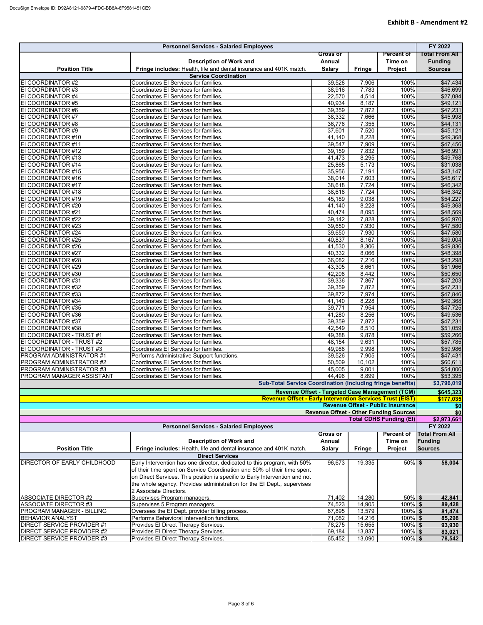|                                                                   | <b>Personnel Services - Salaried Employees</b>                              |                 |               |                   | FY 2022               |  |
|-------------------------------------------------------------------|-----------------------------------------------------------------------------|-----------------|---------------|-------------------|-----------------------|--|
|                                                                   |                                                                             | <b>Gross or</b> |               | Percent of        | <b>Total From All</b> |  |
|                                                                   | <b>Description of Work and</b>                                              | Annual          |               | Time on           | <b>Funding</b>        |  |
| <b>Position Title</b>                                             | Fringe includes: Health, life and dental insurance and 401K match.          | <b>Salary</b>   |               | Project           | <b>Sources</b>        |  |
|                                                                   | <b>Service Coordination</b>                                                 |                 | <b>Fringe</b> |                   |                       |  |
| EI COORDINATOR #2                                                 | Coordinates El Services for families.                                       | 39,528          | 7,906         | 100%              | \$47,434              |  |
| EI COORDINATOR #3                                                 | Coordinates El Services for families.                                       | 38,916          | 7,783         | 100%              | \$46,699              |  |
| EI COORDINATOR #4                                                 | Coordinates El Services for families.                                       | 22,570          | 4,514         | 100%              | \$27,084              |  |
| EI COORDINATOR #5                                                 | Coordinates El Services for families.                                       | 40,934          | 8,187         | 100%              | \$49,121              |  |
| EI COORDINATOR #6                                                 | Coordinates El Services for families.                                       | 39,359          | 7,872         | 100%              | \$47,231              |  |
| EI COORDINATOR #7                                                 | Coordinates El Services for families.                                       | 38,332          | 7,666         | 100%              | \$45,998              |  |
| EI COORDINATOR #8                                                 | Coordinates El Services for families.                                       | 36,776          | 7,355         | 100%              | \$44,131              |  |
| EI COORDINATOR #9                                                 | Coordinates El Services for families.                                       | 37,601          | 7,520         | 100%              | $\overline{$45,121}$  |  |
| EI COORDINATOR #10                                                | Coordinates El Services for families.                                       | 41,140          | 8,228         | 100%              | \$49,368              |  |
| EI COORDINATOR #11                                                | Coordinates El Services for families.                                       | 39,547          | 7,909         | 100%              | \$47,456              |  |
| EI COORDINATOR #12                                                | Coordinates El Services for families.                                       | 39,159          | 7,832         | 100%              | \$46,991              |  |
| EI COORDINATOR #13                                                | Coordinates El Services for families.                                       | 41,473          | 8,295         | 100%              | \$49,768              |  |
| EI COORDINATOR #14                                                | Coordinates El Services for families.                                       | 25,865          | 5,173         | 100%              | \$31,038              |  |
| EI COORDINATOR #15                                                | Coordinates El Services for families.                                       | 35,956          | 7,191         | 100%              | $\overline{$}43,147$  |  |
| EI COORDINATOR #16                                                | Coordinates El Services for families.                                       | 38,014          | 7,603         | 100%              | $\overline{$45,617}$  |  |
| EI COORDINATOR #17                                                | Coordinates El Services for families.                                       | 38,618          | 7,724         | 100%              | \$46,342              |  |
| EI COORDINATOR #18                                                | Coordinates El Services for families.                                       | 38,618          | 7,724         | 100%              | \$46,342              |  |
| EI COORDINATOR #19                                                | Coordinates El Services for families.                                       | 45,189          | 9,038         | 100%              | \$54,227              |  |
| EI COORDINATOR #20                                                | Coordinates El Services for families.                                       | 41,140          | 8,228         | 100%              | \$49,368              |  |
| EI COORDINATOR #21                                                | Coordinates El Services for families.                                       | 40,474          | 8,095         | 100%              | \$48,569              |  |
| EI COORDINATOR #22                                                | Coordinates El Services for families.                                       | 39,142          | 7,828         | 100%              | \$46,970              |  |
| EI COORDINATOR #23                                                | Coordinates El Services for families.                                       | 39,650          | 7,930         | 100%              | \$47,580              |  |
| EI COORDINATOR #24                                                | Coordinates El Services for families.                                       | 39,650          | 7,930         | 100%              | \$47,580              |  |
| EI COORDINATOR #25                                                | Coordinates El Services for families.                                       | 40,837          | 8,167         | 100%              | \$49,004              |  |
| EI COORDINATOR #26                                                | Coordinates El Services for families.                                       | 41,530          | 8,306         | 100%              | \$49,836              |  |
| EI COORDINATOR #27                                                | Coordinates El Services for families.                                       | 40,332          | 8,066         | 100%              | \$48,398              |  |
| EI COORDINATOR #28                                                | Coordinates El Services for families.                                       | 36,082          | 7,216         | 100%              | \$43,298              |  |
| EI COORDINATOR #29                                                | Coordinates El Services for families.                                       | 43,305          | 8,661         | 100%              | \$51,966              |  |
| EI COORDINATOR #30                                                | Coordinates El Services for families.                                       | 42,208          | 8,442         | 100%              | \$50,650              |  |
| EI COORDINATOR #31                                                | Coordinates El Services for families.                                       | 39,336          | 7,867         | 100%              | \$47,203              |  |
| EI COORDINATOR #32                                                | Coordinates El Services for families.                                       | 39,359          | 7,872         | 100%              | \$47,231              |  |
| EI COORDINATOR #33                                                | Coordinates El Services for families.                                       | 39,872          | 7,974         | 100%              | \$47,846              |  |
| EI COORDINATOR #34                                                | Coordinates El Services for families.                                       | 41,140          | 8,228         | 100%              | \$49,368              |  |
| EI COORDINATOR #35                                                | Coordinates El Services for families.                                       | 39,771          | 7,954         | 100%              | \$47,725              |  |
| EI COORDINATOR #36                                                | Coordinates El Services for families.                                       | 41,280          | 8,256         | 100%              | \$49,536              |  |
| EI COORDINATOR #37                                                | Coordinates El Services for families.                                       | 39,359          | 7,872         | 100%              | \$47,231              |  |
| EI COORDINATOR #38                                                | Coordinates El Services for families.                                       | 42,549          | 8,510         | 100%              | \$51,059              |  |
| EI COORDINATOR - TRUST #1                                         | Coordinates El Services for families.                                       | 49,388          | 9,878         | 100%              | \$59,266              |  |
| EI COORDINATOR - TRUST #2                                         | Coordinates El Services for families.                                       | 48,154          | 9,631         | 100%              | \$57,785              |  |
| EI COORDINATOR - TRUST #3                                         | Coordinates El Services for families.                                       | 49,988          | 9,998         | 100%              | \$59,986              |  |
| <b>PROGRAM ADMINISTRATOR #1</b>                                   | Performs Administrative Support functions.                                  | 39,526          | 7,905         | 100%              | \$47,431              |  |
| <b>PROGRAM ADMINISTRATOR #2</b>                                   | Coordinates El Services for families.                                       | 50,509          | 10,102        | 100%              | \$60,611              |  |
| <b>PROGRAM ADMINISTRATOR #3</b>                                   | Coordinates El Services for families.                                       | 45,005          | 9,001         | 100%              | \$54,006              |  |
| <b>PROGRAM MANAGER ASSISTANT</b>                                  | Coordinates El Services for families.                                       | 44,496          | 8,899         | 100%              | \$53,395              |  |
| <b>Sub-Total Service Coordination (including fringe benefits)</b> |                                                                             |                 |               |                   |                       |  |
| Revenue Offset - Targeted Case Management (TCM)                   |                                                                             |                 |               |                   |                       |  |
| <b>Revenue Offset - Early Intervention Services Trust (EIST)</b>  |                                                                             |                 |               |                   |                       |  |
| Revenue Offset - Public Insurance                                 |                                                                             |                 |               |                   |                       |  |
| <b>Revenue Offset - Other Funding Sources</b>                     |                                                                             |                 |               |                   |                       |  |
| <b>Total CDHS Funding (EI)</b><br>\$2,973,661                     |                                                                             |                 |               |                   |                       |  |
|                                                                   | <b>Personnel Services - Salaried Employees</b>                              |                 |               |                   | FY 2022               |  |
|                                                                   |                                                                             | <b>Gross or</b> |               | <b>Percent of</b> | <b>Total From All</b> |  |
|                                                                   | <b>Description of Work and</b>                                              | Annual          |               | Time on           | Funding               |  |
| <b>Position Title</b>                                             | Fringe includes: Health, life and dental insurance and 401K match.          | <b>Salary</b>   | <b>Fringe</b> | Project           | <b>Sources</b>        |  |
|                                                                   | <b>Direct Services</b>                                                      |                 |               |                   |                       |  |
| <b>DIRECTOR OF EARLY CHILDHOOD</b>                                | Early Intervention has one director, dedicated to this program, with 50%    | 96,673          | 19,335        | $50\%$ \$         | 58,004                |  |
|                                                                   | of their time spent on Service Coordination and 50% of their time spent     |                 |               |                   |                       |  |
|                                                                   | on Direct Services. This position is specific to Early Intervention and not |                 |               |                   |                       |  |
|                                                                   | the whole agency. Provides administration for the El Dept., supervises      |                 |               |                   |                       |  |
|                                                                   | 2 Associate Directors.                                                      |                 |               |                   |                       |  |
| ASSOCIATE DIRECTOR #2                                             | Supervises Program managers.                                                | 71,402          | 14,280        | $50\%$ \$         | 42,841                |  |
| <b>ASSOCIATE DIRECTOR #3</b>                                      | Supervises 5 Program managers.                                              | 74,523          | 14,905        | $100\%$ \$        | 89,428                |  |
| PROGRAM MANAGER - BILLING                                         | Oversees the El Dept. provider billing process.                             | 67,895          | 13,579        | $100\%$ \$        | 81,474                |  |
| <b>BEHAVIOR ANALYST</b>                                           | Performs Behavioral Intervention functions,                                 | 71,082          | 14,216        | $100\%$ \$        | 85,298                |  |
| <b>DIRECT SERVICE PROVIDER #1</b>                                 | Provides El Direct Therapy Services.                                        | 78,275          | 15,655        | 100% \$           | 93,930                |  |
| DIRECT SERVICE PROVIDER #2                                        | Provides El Direct Therapy Services.                                        | 69,184          | 13,837        | $100\%$ \$        | 83,021                |  |
| DIRECT SERVICE PROVIDER #3                                        | Provides El Direct Therapy Services.                                        | 65,452          | 13,090        | 100% \$           | 78,542                |  |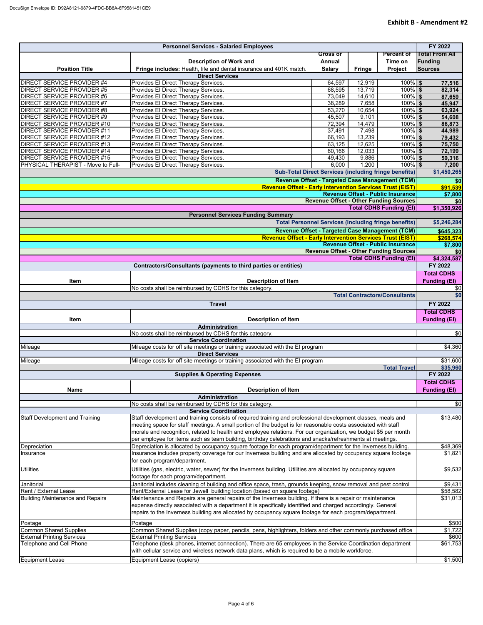| <b>Personnel Services - Salaried Employees</b>                                                                                                             |                                                                                                                 |                  |                  | FY 2022                                                                         |                        |
|------------------------------------------------------------------------------------------------------------------------------------------------------------|-----------------------------------------------------------------------------------------------------------------|------------------|------------------|---------------------------------------------------------------------------------|------------------------|
|                                                                                                                                                            |                                                                                                                 | <b>Gross or</b>  |                  | <b>Percent of</b>                                                               | <b>Total From All</b>  |
|                                                                                                                                                            | <b>Description of Work and</b>                                                                                  | Annual           |                  | Time on                                                                         | Funding                |
| <b>Position Title</b>                                                                                                                                      | Fringe includes: Health, life and dental insurance and 401K match.                                              | <b>Salary</b>    | <b>Fringe</b>    | <b>Project</b>                                                                  | <b>Sources</b>         |
|                                                                                                                                                            | <b>Direct Services</b>                                                                                          |                  |                  |                                                                                 |                        |
| <b>DIRECT SERVICE PROVIDER #4</b><br><b>DIRECT SERVICE PROVIDER #5</b>                                                                                     | Provides El Direct Therapy Services.<br>Provides El Direct Therapy Services.                                    | 64,597<br>68,595 | 12,919<br>13,719 | $100\%$ \$<br>100% \$                                                           | 77,516                 |
| DIRECT SERVICE PROVIDER #6                                                                                                                                 | Provides El Direct Therapy Services.                                                                            | 73,049           | 14,610           | $100\%$ \$                                                                      | 82,314<br>87,659       |
| <b>DIRECT SERVICE PROVIDER #7</b>                                                                                                                          | Provides El Direct Therapy Services.                                                                            | 38,289           | 7,658            | $100\%$ \$                                                                      | 45,947                 |
| <b>DIRECT SERVICE PROVIDER #8</b>                                                                                                                          | Provides El Direct Therapy Services.                                                                            | 53,270           | 10,654           | $100\%$ \$                                                                      | 63,924                 |
| <b>DIRECT SERVICE PROVIDER #9</b>                                                                                                                          | Provides El Direct Therapy Services.                                                                            | 45,507           | 9,101            | $100\%$ \$                                                                      | 54,608                 |
| DIRECT SERVICE PROVIDER #10                                                                                                                                | Provides El Direct Therapy Services.                                                                            | 72,394           | 14,479           | $100\%$ \$                                                                      | 86,873                 |
| <b>DIRECT SERVICE PROVIDER #11</b>                                                                                                                         | Provides El Direct Therapy Services.                                                                            | 37,491           | 7,498            | $100\%$ \$                                                                      | 44,989                 |
| <b>DIRECT SERVICE PROVIDER #12</b>                                                                                                                         | Provides El Direct Therapy Services.                                                                            | 66,193           | 13,239           | $100\%$ \$                                                                      | 79,432                 |
| <b>DIRECT SERVICE PROVIDER #13</b>                                                                                                                         | Provides El Direct Therapy Services.                                                                            | 63,125           | 12,625           | $100\%$ \$<br>$100\sqrt{5}$                                                     | 75,750                 |
| <b>DIRECT SERVICE PROVIDER #14</b><br><b>DIRECT SERVICE PROVIDER #15</b>                                                                                   | Provides El Direct Therapy Services.<br>Provides El Direct Therapy Services.                                    | 60,166<br>49,430 | 12,033<br>9,886  | $100\%$ \$                                                                      | 72,199<br>59,316       |
| PHYSICAL THERAPIST - Move to Full-                                                                                                                         | Provides El Direct Therapy Services.                                                                            | 6,000            | 1,200            | $100\%$ \$                                                                      | 7,200                  |
|                                                                                                                                                            |                                                                                                                 |                  |                  | <b>Sub-Total Direct Services (including fringe benefits)</b>                    | \$1,450,265            |
|                                                                                                                                                            |                                                                                                                 |                  |                  | Revenue Offset - Targeted Case Management (TCM)                                 | \$0                    |
|                                                                                                                                                            | <b>Revenue Offset - Early Intervention Services Trust (EIST)</b>                                                |                  |                  |                                                                                 | \$91,539               |
|                                                                                                                                                            |                                                                                                                 |                  |                  | <b>Revenue Offset - Public Insurance</b>                                        | \$7,800                |
|                                                                                                                                                            |                                                                                                                 |                  |                  | <b>Revenue Offset - Other Funding Sources</b>                                   | \$0                    |
|                                                                                                                                                            |                                                                                                                 |                  |                  | <b>Total CDHS Funding (EI)</b>                                                  | \$1,350,926            |
|                                                                                                                                                            | <b>Personnel Services Funding Summary</b>                                                                       |                  |                  |                                                                                 |                        |
|                                                                                                                                                            |                                                                                                                 |                  |                  | <b>Total Personnel Services (including fringe benefits)</b>                     | \$5,246,284            |
|                                                                                                                                                            |                                                                                                                 |                  |                  | Revenue Offset - Targeted Case Management (TCM)                                 | \$645,323              |
|                                                                                                                                                            | <b>Revenue Offset - Early Intervention Services Trust (EIST)</b>                                                |                  |                  |                                                                                 | \$268,574              |
|                                                                                                                                                            |                                                                                                                 |                  |                  | <b>Revenue Offset - Public Insurance</b>                                        | \$7,800                |
|                                                                                                                                                            |                                                                                                                 |                  |                  | <b>Revenue Offset - Other Funding Sources</b><br><b>Total CDHS Funding (EI)</b> | \$0                    |
|                                                                                                                                                            | Contractors/Consultants (payments to third parties or entities)                                                 |                  |                  |                                                                                 | \$4,324,587<br>FY 2022 |
|                                                                                                                                                            |                                                                                                                 |                  |                  |                                                                                 | <b>Total CDHS</b>      |
| Item                                                                                                                                                       | <b>Description of Item</b>                                                                                      |                  |                  |                                                                                 | <b>Funding (EI)</b>    |
|                                                                                                                                                            | No costs shall be reimbursed by CDHS for this category.                                                         |                  |                  |                                                                                 | \$0                    |
|                                                                                                                                                            |                                                                                                                 |                  |                  | <b>Total Contractors/Consultants</b>                                            | \$0                    |
| <b>Travel</b>                                                                                                                                              |                                                                                                                 |                  |                  |                                                                                 | FY 2022                |
|                                                                                                                                                            |                                                                                                                 |                  |                  |                                                                                 | <b>Total CDHS</b>      |
| Item<br><b>Description of Item</b>                                                                                                                         |                                                                                                                 |                  |                  |                                                                                 | <b>Funding (EI)</b>    |
| <b>Administration</b>                                                                                                                                      |                                                                                                                 |                  |                  |                                                                                 |                        |
| No costs shall be reimbursed by CDHS for this category.                                                                                                    |                                                                                                                 |                  |                  |                                                                                 | \$0                    |
| <b>Service Coordination</b><br>Mileage costs for off site meetings or training associated with the EI program<br>Mileage                                   |                                                                                                                 |                  |                  |                                                                                 | \$4,360                |
|                                                                                                                                                            | <b>Direct Services</b>                                                                                          |                  |                  |                                                                                 |                        |
| Mileage                                                                                                                                                    | Mileage costs for off site meetings or training associated with the EI program                                  |                  |                  |                                                                                 | \$31,600               |
|                                                                                                                                                            | <b>Supplies &amp; Operating Expenses</b>                                                                        |                  |                  | <b>Total Travel</b>                                                             | \$35,960<br>FY 2022    |
|                                                                                                                                                            |                                                                                                                 |                  |                  |                                                                                 | <b>Total CDHS</b>      |
| <b>Name</b>                                                                                                                                                | <b>Description of Item</b>                                                                                      |                  |                  |                                                                                 | <b>Funding (EI)</b>    |
|                                                                                                                                                            | Administration                                                                                                  |                  |                  |                                                                                 |                        |
|                                                                                                                                                            | No costs shall be reimbursed by CDHS for this category.                                                         |                  |                  |                                                                                 | \$0                    |
|                                                                                                                                                            | <b>Service Coordination</b>                                                                                     |                  |                  |                                                                                 |                        |
| <b>Staff Development and Training</b>                                                                                                                      | Staff development and training consists of required training and professional development classes, meals and    |                  |                  |                                                                                 | \$13,480               |
| meeting space for staff meetings. A small portion of the budget is for reasonable costs associated with staff                                              |                                                                                                                 |                  |                  |                                                                                 |                        |
|                                                                                                                                                            | morale and recognition, related to health and employee relations. For our organization, we budget \$5 per month |                  |                  |                                                                                 |                        |
|                                                                                                                                                            | per employee for items such as team building, birthday celebrations and snacks/refreshments at meetings.        |                  |                  |                                                                                 |                        |
| Depreciation is allocated by occupancy square footage for each program/department for the Inverness building.<br>Depreciation                              |                                                                                                                 |                  |                  |                                                                                 | \$48,369<br>\$1,821    |
| Insurance includes property coverage for our Inverness building and are allocated by occupancy square footage<br>Insurance<br>for each program/department. |                                                                                                                 |                  |                  |                                                                                 |                        |
| <b>Utilities</b><br>Utilities (gas, electric, water, sewer) for the Inverness building. Utilities are allocated by occupancy square                        |                                                                                                                 |                  |                  |                                                                                 | \$9,532                |
| footage for each program/department.                                                                                                                       |                                                                                                                 |                  |                  |                                                                                 |                        |
| Janitorial includes cleaning of building and office space, trash, grounds keeping, snow removal and pest control<br>Janitorial                             |                                                                                                                 |                  |                  |                                                                                 | \$9,431                |
| <b>Rent / External Lease</b><br>Rent/External Lease for Jewell building location (based on square footage)                                                 |                                                                                                                 |                  |                  |                                                                                 | \$58,582               |
| <b>Building Maintenance and Repairs</b>                                                                                                                    | Maintenance and Repairs are general repairs of the Inverness building. If there is a repair or maintenance      |                  |                  |                                                                                 | \$31,013               |
| expense directly associated with a department it is specifically identified and charged accordingly. General                                               |                                                                                                                 |                  |                  |                                                                                 |                        |
| repairs to the Inverness building are allocated by occupancy square footage for each program/department.                                                   |                                                                                                                 |                  |                  |                                                                                 |                        |
| Postage<br>Postage                                                                                                                                         |                                                                                                                 |                  |                  |                                                                                 | \$500                  |
| <b>Common Shared Supplies</b>                                                                                                                              | Common Shared Supplies (copy paper, pencils, pens, highlighters, folders and other commonly purchased office    |                  |                  |                                                                                 | \$1,722                |
| <b>External Printing Services</b>                                                                                                                          | <b>External Printing Services</b>                                                                               |                  |                  |                                                                                 | \$600                  |
| Telephone and Cell Phone                                                                                                                                   | Telephone (desk phones, internet connection). There are 65 employees in the Service Coordination department     |                  |                  |                                                                                 | \$61,753               |
|                                                                                                                                                            | with cellular service and wireless network data plans, which is required to be a mobile workforce.              |                  |                  |                                                                                 |                        |
| <b>Equipment Lease</b>                                                                                                                                     | Equipment Lease (copiers)                                                                                       |                  |                  |                                                                                 | \$1,500                |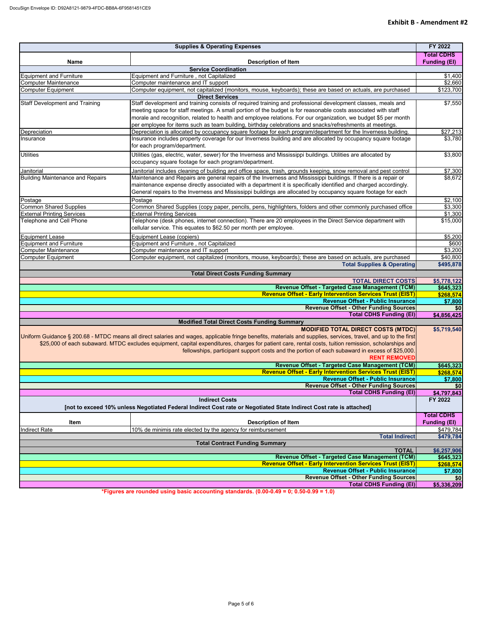|                                                                                                                     | <b>Supplies &amp; Operating Expenses</b>                                                                                                                        | FY 2022                |  |
|---------------------------------------------------------------------------------------------------------------------|-----------------------------------------------------------------------------------------------------------------------------------------------------------------|------------------------|--|
|                                                                                                                     |                                                                                                                                                                 | <b>Total CDHS</b>      |  |
| <b>Name</b>                                                                                                         | <b>Description of Item</b>                                                                                                                                      | <b>Funding (EI)</b>    |  |
|                                                                                                                     | <b>Service Coordination</b><br>Equipment and Furniture, not Capitalized                                                                                         | \$1,400                |  |
| <b>Equipment and Furniture</b><br>Computer Maintenance                                                              | Computer maintenance and IT support                                                                                                                             | \$2,660                |  |
| <b>Computer Equipment</b>                                                                                           | Computer equipment, not capitalized (monitors, mouse, keyboards); these are based on actuals, are purchased                                                     | \$123,700              |  |
|                                                                                                                     | <b>Direct Services</b>                                                                                                                                          |                        |  |
| <b>Staff Development and Training</b>                                                                               | Staff development and training consists of required training and professional development classes, meals and                                                    | $\overline{$}7,550$    |  |
|                                                                                                                     | meeting space for staff meetings. A small portion of the budget is for reasonable costs associated with staff                                                   |                        |  |
|                                                                                                                     | morale and recognition, related to health and employee relations. For our organization, we budget \$5 per month                                                 |                        |  |
|                                                                                                                     | per employee for items such as team building, birthday celebrations and snacks/refreshments at meetings.                                                        |                        |  |
| Depreciation                                                                                                        | Depreciation is allocated by occupancy square footage for each program/department for the Inverness building.                                                   | \$27,213               |  |
| Insurance                                                                                                           | Insurance includes property coverage for our Inverness building and are allocated by occupancy square footage                                                   | \$3,780                |  |
|                                                                                                                     | for each program/department.                                                                                                                                    |                        |  |
| <b>Utilities</b>                                                                                                    | Utilities (gas, electric, water, sewer) for the Inverness and Mississippi buildings. Utilities are allocated by                                                 | \$3,800                |  |
|                                                                                                                     | occupancy square footage for each program/department.                                                                                                           |                        |  |
| Janitorial                                                                                                          | Janitorial includes cleaning of building and office space, trash, grounds keeping, snow removal and pest control                                                | \$7,300                |  |
| <b>Building Maintenance and Repairs</b>                                                                             | Maintenance and Repairs are general repairs of the Inverness and Mississippi buildings. If there is a repair or                                                 | \$8,672                |  |
|                                                                                                                     | maintenance expense directly associated with a department it is specifically identified and charged accordingly.                                                |                        |  |
|                                                                                                                     | General repairs to the Inverness and Mississippi buildings are allocated by occupancy square footage for each                                                   |                        |  |
| Postage                                                                                                             | Postage                                                                                                                                                         | \$2,100                |  |
| <b>Common Shared Supplies</b>                                                                                       | Common Shared Supplies (copy paper, pencils, pens, highlighters, folders and other commonly purchased office                                                    | \$3,300                |  |
| <b>External Printing Services</b>                                                                                   | <b>External Printing Services</b>                                                                                                                               | \$1,300                |  |
| Telephone and Cell Phone                                                                                            | Telephone (desk phones, internet connection). There are 20 employees in the Direct Service department with                                                      | \$15,000               |  |
|                                                                                                                     | cellular service. This equates to \$62.50 per month per employee.                                                                                               |                        |  |
|                                                                                                                     | Equipment Lease (copiers)                                                                                                                                       | \$5,200                |  |
| <b>Equipment Lease</b><br><b>Equipment and Furniture</b>                                                            | Equipment and Furniture, not Capitalized                                                                                                                        | \$600                  |  |
| <b>Computer Maintenance</b>                                                                                         | Computer maintenance and IT support                                                                                                                             | \$3,200                |  |
| <b>Computer Equipment</b>                                                                                           | Computer equipment, not capitalized (monitors, mouse, keyboards); these are based on actuals, are purchased                                                     | \$40,800               |  |
|                                                                                                                     | <b>Total Supplies &amp; Operating</b>                                                                                                                           | \$495,878              |  |
|                                                                                                                     | <b>Total Direct Costs Funding Summary</b>                                                                                                                       |                        |  |
|                                                                                                                     | <b>TOTAL DIRECT COSTS</b>                                                                                                                                       | \$5,778,122            |  |
|                                                                                                                     | <b>Revenue Offset - Targeted Case Management (TCM)</b>                                                                                                          | \$645,323              |  |
|                                                                                                                     | <b>Revenue Offset - Early Intervention Services Trust (EIST)</b>                                                                                                | \$268,574              |  |
|                                                                                                                     | <b>Revenue Offset - Public Insurance</b>                                                                                                                        | \$7,800                |  |
|                                                                                                                     | <b>Revenue Offset - Other Funding Sources</b>                                                                                                                   | \$0                    |  |
|                                                                                                                     | <b>Total CDHS Funding (EI)</b>                                                                                                                                  | \$4,856,425            |  |
|                                                                                                                     | <b>Modified Total Direct Costs Funding Summary</b>                                                                                                              |                        |  |
|                                                                                                                     | <b>MODIFIED TOTAL DIRECT COSTS (MTDC)</b>                                                                                                                       | \$5,719,540            |  |
|                                                                                                                     | Uniform Guidance § 200.68 - MTDC means all direct salaries and wages, applicable fringe benefits, materials and supplies, services, travel, and up to the first |                        |  |
|                                                                                                                     | \$25,000 of each subaward. MTDC excludes equipment, capital expenditures, charges for patient care, rental costs, tuition remission, scholarships and           |                        |  |
|                                                                                                                     | fellowships, participant support costs and the portion of each subaward in excess of \$25,000.                                                                  |                        |  |
|                                                                                                                     | <b>RENT REMOVED</b>                                                                                                                                             |                        |  |
|                                                                                                                     | Revenue Offset - Targeted Case Management (TCM)                                                                                                                 | \$645,323              |  |
|                                                                                                                     | <b>Revenue Offset - Early Intervention Services Trust (EIST)</b>                                                                                                | \$268,574              |  |
|                                                                                                                     | Revenue Offset - Public Insurance                                                                                                                               | \$7,800                |  |
|                                                                                                                     | <b>Revenue Offset - Other Funding Sources</b><br><b>Total CDHS Funding (EI)</b>                                                                                 | \$0<br>\$4,797,843     |  |
| <b>Indirect Costs</b>                                                                                               |                                                                                                                                                                 |                        |  |
| [not to exceed 10% unless Negotiated Federal Indirect Cost rate or Negotiated State Indirect Cost rate is attached] |                                                                                                                                                                 |                        |  |
|                                                                                                                     |                                                                                                                                                                 |                        |  |
|                                                                                                                     |                                                                                                                                                                 | <b>Total CDHS</b>      |  |
| Item                                                                                                                | <b>Description of Item</b>                                                                                                                                      | <b>Funding (EI)</b>    |  |
| Indirect Rate                                                                                                       | 10% de minimis rate elected by the agency for reimbursement<br><b>Total Indirect</b>                                                                            | \$479,784<br>\$479,784 |  |
|                                                                                                                     | <b>Total Contract Funding Summary</b>                                                                                                                           |                        |  |
|                                                                                                                     | <b>TOTAL</b>                                                                                                                                                    | \$6,257,906            |  |
|                                                                                                                     | Revenue Offset - Targeted Case Management (TCM)                                                                                                                 | \$645,323              |  |
|                                                                                                                     | <b>Revenue Offset - Early Intervention Services Trust (EIST)</b>                                                                                                | \$268,574              |  |
|                                                                                                                     | <b>Revenue Offset - Public Insurance</b>                                                                                                                        | \$7,800                |  |
|                                                                                                                     | <b>Revenue Offset - Other Funding Sources</b>                                                                                                                   | \$0                    |  |
|                                                                                                                     | <b>Total CDHS Funding (EI)</b>                                                                                                                                  | \$5,336,209            |  |

**\*Figures are rounded using basic accounting standards. (0.00-0.49 = 0; 0.50-0.99 = 1.0)**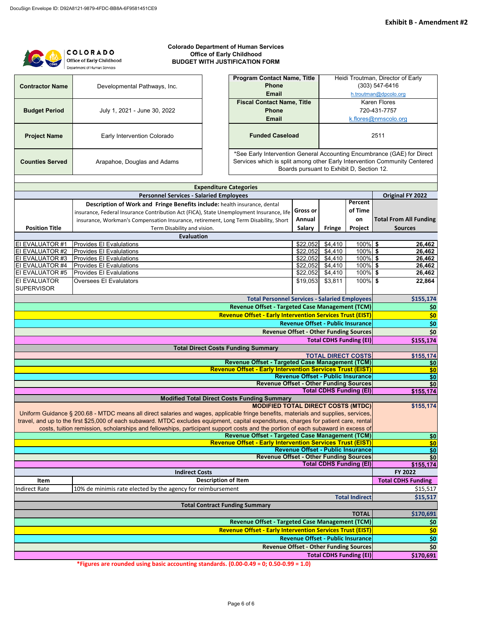|                                                                                                                                        | <b>Colorado Department of Human Services</b><br><b>COLORADO</b><br><b>Office of Early Childhood</b><br>Office of Early Childhood<br><b>BUDGET WITH JUSTIFICATION FORM</b> |                                                                  |                                           |                                |                                |                                                                                                                                                      |  |
|----------------------------------------------------------------------------------------------------------------------------------------|---------------------------------------------------------------------------------------------------------------------------------------------------------------------------|------------------------------------------------------------------|-------------------------------------------|--------------------------------|--------------------------------|------------------------------------------------------------------------------------------------------------------------------------------------------|--|
|                                                                                                                                        | Department of Human Services                                                                                                                                              |                                                                  |                                           |                                |                                |                                                                                                                                                      |  |
| <b>Contractor Name</b>                                                                                                                 | Developmental Pathways, Inc.                                                                                                                                              | <b>Program Contact Name, Title</b><br><b>Phone</b>               |                                           |                                |                                | Heidi Troutman, Director of Early<br>$(303) 547 - 6416$                                                                                              |  |
|                                                                                                                                        |                                                                                                                                                                           | <b>Email</b>                                                     |                                           |                                |                                | h.troutman@dpcolo.org                                                                                                                                |  |
|                                                                                                                                        |                                                                                                                                                                           | <b>Fiscal Contact Name, Title</b>                                |                                           |                                |                                | <b>Karen Flores</b><br>720-431-7757                                                                                                                  |  |
|                                                                                                                                        | <b>Budget Period</b><br>July 1, 2021 - June 30, 2022<br><b>Phone</b><br><b>Email</b>                                                                                      |                                                                  |                                           |                                |                                | k.flores@nmscolo.org                                                                                                                                 |  |
|                                                                                                                                        |                                                                                                                                                                           |                                                                  |                                           |                                |                                |                                                                                                                                                      |  |
| <b>Project Name</b>                                                                                                                    | Early Intervention Colorado                                                                                                                                               | <b>Funded Caseload</b>                                           |                                           |                                |                                | 2511                                                                                                                                                 |  |
| <b>Counties Served</b>                                                                                                                 | Arapahoe, Douglas and Adams                                                                                                                                               |                                                                  | Boards pursuant to Exhibit D, Section 12. |                                |                                | *See Early Intervention General Accounting Encumbrance (GAE) for Direct<br>Services which is split among other Early Intervention Community Centered |  |
|                                                                                                                                        | <b>Expenditure Categories</b>                                                                                                                                             |                                                                  |                                           |                                |                                |                                                                                                                                                      |  |
|                                                                                                                                        | <b>Personnel Services - Salaried Employees</b>                                                                                                                            |                                                                  |                                           |                                |                                | <b>Original FY 2022</b>                                                                                                                              |  |
|                                                                                                                                        | Description of Work and Fringe Benefits include: health insurance, dental                                                                                                 |                                                                  |                                           |                                | Percent                        |                                                                                                                                                      |  |
|                                                                                                                                        | insurance, Federal Insurance Contribution Act (FICA), State Unemployment Insurance, life                                                                                  |                                                                  | <b>Gross or</b>                           |                                | of Time                        |                                                                                                                                                      |  |
|                                                                                                                                        | insurance, Workman's Compensation Insurance, retirement, Long Term Disability, Short                                                                                      |                                                                  | Annual                                    |                                | on                             | <b>Total From All Funding</b>                                                                                                                        |  |
| <b>Position Title</b>                                                                                                                  | Term Disability and vision.                                                                                                                                               |                                                                  | <b>Salary</b>                             | <b>Fringe</b>                  | Project                        | <b>Sources</b>                                                                                                                                       |  |
|                                                                                                                                        | <b>Evaluation</b>                                                                                                                                                         |                                                                  |                                           |                                |                                |                                                                                                                                                      |  |
| EI EVALUATOR #1                                                                                                                        | <b>Provides EI Evalulations</b>                                                                                                                                           |                                                                  | \$22,052                                  | \$4,410                        | $100\%$ \$                     | 26,462                                                                                                                                               |  |
| EI EVALUATOR #2                                                                                                                        | <b>Provides EI Evalulations</b>                                                                                                                                           |                                                                  | \$22,052                                  | \$4,410                        | $100\%$ \$                     | 26,462                                                                                                                                               |  |
| EI EVALUATOR #3                                                                                                                        | <b>Provides EI Evalulations</b>                                                                                                                                           |                                                                  | \$22,052                                  | \$4,410                        | $100\%$ \$                     | 26,462                                                                                                                                               |  |
| EI EVALUATOR #4                                                                                                                        | <b>Provides EI Evalulations</b>                                                                                                                                           |                                                                  | \$22,052                                  | \$4,410                        | $100\%$ \$                     | 26,462                                                                                                                                               |  |
| EI EVALUATOR #5                                                                                                                        | <b>Provides EI Evalulations</b>                                                                                                                                           |                                                                  | \$22,052                                  | \$4,410                        | $100\%$ \$                     | 26,462                                                                                                                                               |  |
| EI EVALUATOR                                                                                                                           | $100\%$ \$<br><b>Oversees EI Evalulators</b><br>\$19,053<br>\$3,811                                                                                                       |                                                                  |                                           |                                |                                |                                                                                                                                                      |  |
| <b>SUPERVISOR</b>                                                                                                                      |                                                                                                                                                                           |                                                                  |                                           |                                |                                | 22,864                                                                                                                                               |  |
| <b>Total Personnel Services - Salaried Employees</b>                                                                                   |                                                                                                                                                                           |                                                                  |                                           |                                |                                | \$155,174                                                                                                                                            |  |
|                                                                                                                                        |                                                                                                                                                                           |                                                                  |                                           |                                |                                |                                                                                                                                                      |  |
| Revenue Offset - Targeted Case Management (TCM)                                                                                        |                                                                                                                                                                           |                                                                  |                                           |                                |                                | \$0                                                                                                                                                  |  |
| <b>Revenue Offset - Early Intervention Services Trust (EIST)</b>                                                                       |                                                                                                                                                                           |                                                                  |                                           |                                |                                | \$0                                                                                                                                                  |  |
|                                                                                                                                        |                                                                                                                                                                           |                                                                  | <b>Revenue Offset - Public Insurance</b>  |                                |                                | $\overline{\$0}$                                                                                                                                     |  |
|                                                                                                                                        |                                                                                                                                                                           | <b>Revenue Offset - Other Funding Sources</b>                    |                                           |                                |                                | \$0                                                                                                                                                  |  |
|                                                                                                                                        |                                                                                                                                                                           |                                                                  |                                           | <b>Total CDHS Funding (EI)</b> |                                | \$155,174                                                                                                                                            |  |
|                                                                                                                                        | <b>Total Direct Costs Funding Summary</b>                                                                                                                                 |                                                                  |                                           |                                |                                |                                                                                                                                                      |  |
|                                                                                                                                        |                                                                                                                                                                           |                                                                  |                                           | <b>TOTAL DIRECT COSTS</b>      |                                | \$155,174                                                                                                                                            |  |
|                                                                                                                                        |                                                                                                                                                                           | Revenue Offset - Targeted Case Management (TCM)                  |                                           |                                |                                | \$0                                                                                                                                                  |  |
|                                                                                                                                        |                                                                                                                                                                           | <b>Revenue Offset - Early Intervention Services Trust (EIST)</b> | <b>Revenue Offset - Public Insurance</b>  |                                |                                | \$0                                                                                                                                                  |  |
|                                                                                                                                        |                                                                                                                                                                           | <b>Revenue Offset - Other Funding Sources</b>                    |                                           |                                |                                | \$0                                                                                                                                                  |  |
|                                                                                                                                        |                                                                                                                                                                           |                                                                  |                                           |                                |                                | \$0<br>\$155,174                                                                                                                                     |  |
| <b>Total CDHS Funding (EI)</b><br><b>Modified Total Direct Costs Funding Summary</b>                                                   |                                                                                                                                                                           |                                                                  |                                           |                                |                                |                                                                                                                                                      |  |
| <b>MODIFIED TOTAL DIRECT COSTS (MTDC)</b>                                                                                              |                                                                                                                                                                           |                                                                  |                                           |                                |                                | \$155,174                                                                                                                                            |  |
| Uniform Guidance § 200.68 - MTDC means all direct salaries and wages, applicable fringe benefits, materials and supplies, services,    |                                                                                                                                                                           |                                                                  |                                           |                                |                                |                                                                                                                                                      |  |
| travel, and up to the first \$25,000 of each subaward. MTDC excludes equipment, capital expenditures, charges for patient care, rental |                                                                                                                                                                           |                                                                  |                                           |                                |                                |                                                                                                                                                      |  |
| costs, tuition remission, scholarships and fellowships, participant support costs and the portion of each subaward in excess of        |                                                                                                                                                                           |                                                                  |                                           |                                |                                |                                                                                                                                                      |  |
| <b>Revenue Offset - Targeted Case Management (TCM)</b>                                                                                 |                                                                                                                                                                           |                                                                  |                                           |                                |                                | \$0                                                                                                                                                  |  |
| <b>Revenue Offset - Early Intervention Services Trust (EIST)</b>                                                                       |                                                                                                                                                                           |                                                                  |                                           |                                |                                | \$0                                                                                                                                                  |  |
| <b>Revenue Offset - Public Insurance</b>                                                                                               |                                                                                                                                                                           |                                                                  |                                           |                                |                                | \$0                                                                                                                                                  |  |
| <b>Revenue Offset - Other Funding Sources</b>                                                                                          |                                                                                                                                                                           |                                                                  |                                           |                                |                                | $\overline{$}$                                                                                                                                       |  |
| <b>Total CDHS Funding (EI)</b>                                                                                                         |                                                                                                                                                                           |                                                                  |                                           |                                |                                | \$155,174                                                                                                                                            |  |
| <b>Indirect Costs</b>                                                                                                                  |                                                                                                                                                                           |                                                                  |                                           |                                |                                | FY 2022                                                                                                                                              |  |
| <b>Description of Item</b><br>Item                                                                                                     |                                                                                                                                                                           |                                                                  |                                           |                                |                                | <b>Total CDHS Funding</b>                                                                                                                            |  |
| 10% de minimis rate elected by the agency for reimbursement<br><b>Indirect Rate</b>                                                    |                                                                                                                                                                           |                                                                  |                                           |                                |                                | \$15,517                                                                                                                                             |  |
| <b>Total Indirect</b>                                                                                                                  |                                                                                                                                                                           |                                                                  |                                           |                                | \$15,517                       |                                                                                                                                                      |  |
| <b>Total Contract Funding Summary</b>                                                                                                  |                                                                                                                                                                           |                                                                  |                                           |                                |                                |                                                                                                                                                      |  |
|                                                                                                                                        |                                                                                                                                                                           |                                                                  |                                           | <b>TOTAL</b>                   | \$170,691                      |                                                                                                                                                      |  |
|                                                                                                                                        |                                                                                                                                                                           | Revenue Offset - Targeted Case Management (TCM)                  |                                           |                                |                                | \$0                                                                                                                                                  |  |
|                                                                                                                                        |                                                                                                                                                                           | <b>Revenue Offset - Early Intervention Services Trust (EIST)</b> |                                           |                                |                                | \$0                                                                                                                                                  |  |
|                                                                                                                                        |                                                                                                                                                                           |                                                                  | <b>Revenue Offset - Public Insurance</b>  |                                |                                | $\overline{\$0}$                                                                                                                                     |  |
|                                                                                                                                        |                                                                                                                                                                           | <b>Revenue Offset - Other Funding Sources</b>                    |                                           |                                |                                |                                                                                                                                                      |  |
|                                                                                                                                        |                                                                                                                                                                           |                                                                  |                                           |                                |                                | \$0                                                                                                                                                  |  |
|                                                                                                                                        |                                                                                                                                                                           |                                                                  |                                           |                                | <b>Total CDHS Funding (EI)</b> | \$170,691                                                                                                                                            |  |

**\*Figures are rounded using basic accounting standards. (0.00-0.49 = 0; 0.50-0.99 = 1.0)**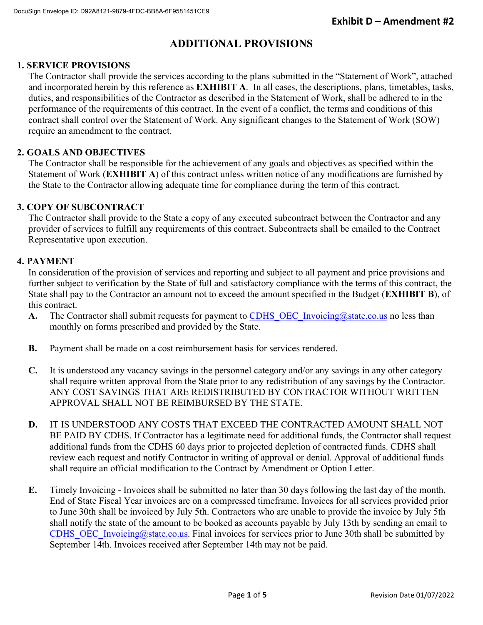# **ADDITIONAL PROVISIONS**

# **1. SERVICE PROVISIONS**

The Contractor shall provide the services according to the plans submitted in the "Statement of Work", attached and incorporated herein by this reference as **EXHIBIT A**. In all cases, the descriptions, plans, timetables, tasks, duties, and responsibilities of the Contractor as described in the Statement of Work, shall be adhered to in the performance of the requirements of this contract. In the event of a conflict, the terms and conditions of this contract shall control over the Statement of Work. Any significant changes to the Statement of Work (SOW) require an amendment to the contract.

# **2. GOALS AND OBJECTIVES**

The Contractor shall be responsible for the achievement of any goals and objectives as specified within the Statement of Work (**EXHIBIT A**) of this contract unless written notice of any modifications are furnished by the State to the Contractor allowing adequate time for compliance during the term of this contract.

# **3. COPY OF SUBCONTRACT**

The Contractor shall provide to the State a copy of any executed subcontract between the Contractor and any provider of services to fulfill any requirements of this contract. Subcontracts shall be emailed to the Contract Representative upon execution.

#### **4. PAYMENT**

In consideration of the provision of services and reporting and subject to all payment and price provisions and further subject to verification by the State of full and satisfactory compliance with the terms of this contract, the State shall pay to the Contractor an amount not to exceed the amount specified in the Budget (**EXHIBIT B**), of this contract.

- A. The Contractor shall submit requests for payment to CDHS OEC Invoicing@state.co.us no less than monthly on forms prescribed and provided by the State.
- **B.** Payment shall be made on a cost reimbursement basis for services rendered.
- **C.** It is understood any vacancy savings in the personnel category and/or any savings in any other category shall require written approval from the State prior to any redistribution of any savings by the Contractor. ANY COST SAVINGS THAT ARE REDISTRIBUTED BY CONTRACTOR WITHOUT WRITTEN APPROVAL SHALL NOT BE REIMBURSED BY THE STATE.
- **D.** IT IS UNDERSTOOD ANY COSTS THAT EXCEED THE CONTRACTED AMOUNT SHALL NOT BE PAID BY CDHS. If Contractor has a legitimate need for additional funds, the Contractor shall request additional funds from the CDHS 60 days prior to projected depletion of contracted funds. CDHS shall review each request and notify Contractor in writing of approval or denial. Approval of additional funds shall require an official modification to the Contract by Amendment or Option Letter.
- **E.** Timely Invoicing Invoices shall be submitted no later than 30 days following the last day of the month. End of State Fiscal Year invoices are on a compressed timeframe. Invoices for all services provided prior to June 30th shall be invoiced by July 5th. Contractors who are unable to provide the invoice by July 5th shall notify the state of the amount to be booked as accounts payable by July 13th by sending an email to CDHS\_OEC\_Invoicing@state.co.us. Final invoices for services prior to June 30th shall be submitted by September 14th. Invoices received after September 14th may not be paid.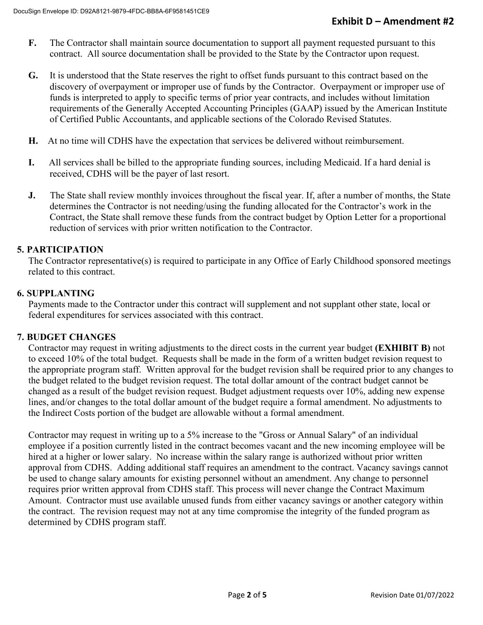- **F.** The Contractor shall maintain source documentation to support all payment requested pursuant to this contract. All source documentation shall be provided to the State by the Contractor upon request.
- **G.** It is understood that the State reserves the right to offset funds pursuant to this contract based on the discovery of overpayment or improper use of funds by the Contractor. Overpayment or improper use of funds is interpreted to apply to specific terms of prior year contracts, and includes without limitation requirements of the Generally Accepted Accounting Principles (GAAP) issued by the American Institute of Certified Public Accountants, and applicable sections of the Colorado Revised Statutes.
- **H.** At no time will CDHS have the expectation that services be delivered without reimbursement.
- **I.** All services shall be billed to the appropriate funding sources, including Medicaid. If a hard denial is received, CDHS will be the payer of last resort.
- **J.** The State shall review monthly invoices throughout the fiscal year. If, after a number of months, the State determines the Contractor is not needing/using the funding allocated for the Contractor's work in the Contract, the State shall remove these funds from the contract budget by Option Letter for a proportional reduction of services with prior written notification to the Contractor.

# **5. PARTICIPATION**

The Contractor representative(s) is required to participate in any Office of Early Childhood sponsored meetings related to this contract.

#### **6. SUPPLANTING**

Payments made to the Contractor under this contract will supplement and not supplant other state, local or federal expenditures for services associated with this contract.

#### **7. BUDGET CHANGES**

Contractor may request in writing adjustments to the direct costs in the current year budget **(EXHIBIT B)** not to exceed 10% of the total budget. Requests shall be made in the form of a written budget revision request to the appropriate program staff. Written approval for the budget revision shall be required prior to any changes to the budget related to the budget revision request. The total dollar amount of the contract budget cannot be changed as a result of the budget revision request. Budget adjustment requests over 10%, adding new expense lines, and/or changes to the total dollar amount of the budget require a formal amendment. No adjustments to the Indirect Costs portion of the budget are allowable without a formal amendment.

Contractor may request in writing up to a 5% increase to the "Gross or Annual Salary" of an individual employee if a position currently listed in the contract becomes vacant and the new incoming employee will be hired at a higher or lower salary. No increase within the salary range is authorized without prior written approval from CDHS. Adding additional staff requires an amendment to the contract. Vacancy savings cannot be used to change salary amounts for existing personnel without an amendment. Any change to personnel requires prior written approval from CDHS staff. This process will never change the Contract Maximum Amount. Contractor must use available unused funds from either vacancy savings or another category within the contract. The revision request may not at any time compromise the integrity of the funded program as determined by CDHS program staff.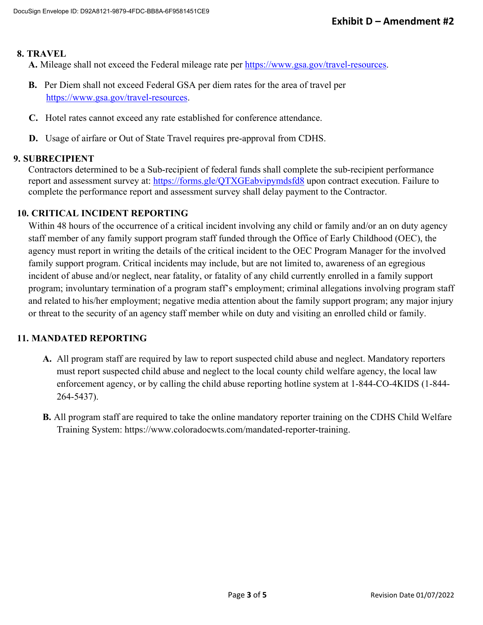# **8. TRAVEL**

**A.** Mileage shall not exceed the Federal mileage rate per https://www.gsa.gov/travel-resources.

- **B.** Per Diem shall not exceed Federal GSA per diem rates for the area of travel per https://www.gsa.gov/travel-resources.
- **C.** Hotel rates cannot exceed any rate established for conference attendance.
- **D.** Usage of airfare or Out of State Travel requires pre-approval from CDHS.

# **9. SUBRECIPIENT**

Contractors determined to be a Sub-recipient of federal funds shall complete the sub-recipient performance report and assessment survey at: https://forms.gle/QTXGEabvipymdsfd8 upon contract execution. Failure to complete the performance report and assessment survey shall delay payment to the Contractor.

# **10. CRITICAL INCIDENT REPORTING**

Within 48 hours of the occurrence of a critical incident involving any child or family and/or an on duty agency staff member of any family support program staff funded through the Office of Early Childhood (OEC), the agency must report in writing the details of the critical incident to the OEC Program Manager for the involved family support program. Critical incidents may include, but are not limited to, awareness of an egregious incident of abuse and/or neglect, near fatality, or fatality of any child currently enrolled in a family support program; involuntary termination of a program staff's employment; criminal allegations involving program staff and related to his/her employment; negative media attention about the family support program; any major injury or threat to the security of an agency staff member while on duty and visiting an enrolled child or family.

# **11. MANDATED REPORTING**

- **A.** All program staff are required by law to report suspected child abuse and neglect. Mandatory reporters must report suspected child abuse and neglect to the local county child welfare agency, the local law enforcement agency, or by calling the child abuse reporting hotline system at 1-844-CO-4KIDS (1-844- 264-5437).
- **B.** All program staff are required to take the online mandatory reporter training on the CDHS Child Welfare Training System: https://www.coloradocwts.com/mandated-reporter-training.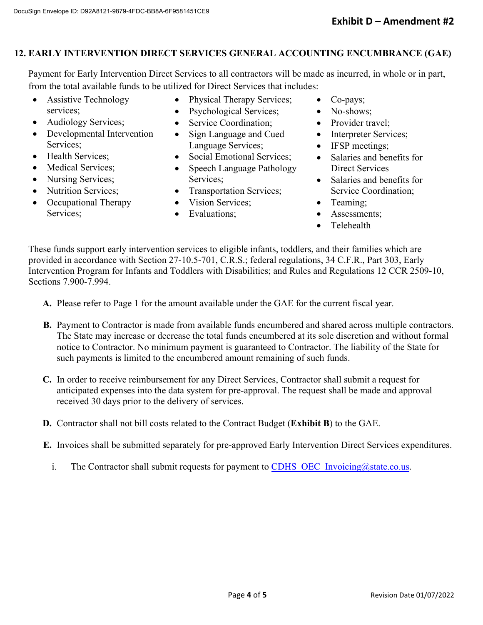# **12. EARLY INTERVENTION DIRECT SERVICES GENERAL ACCOUNTING ENCUMBRANCE (GAE)**

Payment for Early Intervention Direct Services to all contractors will be made as incurred, in whole or in part, from the total available funds to be utilized for Direct Services that includes:

- Assistive Technology services;
- Audiology Services;
- Developmental Intervention Services;
- Health Services:
- Medical Services;
- Nursing Services;
- Nutrition Services;
- Occupational Therapy Services;
- Physical Therapy Services;
- Psychological Services;
- Service Coordination;
- Sign Language and Cued Language Services;
- Social Emotional Services;
- Speech Language Pathology Services;
- Transportation Services;
- Vision Services;
- Evaluations;
- Co-pays;
- No-shows;
- Provider travel:
- Interpreter Services;
- IFSP meetings;
- Salaries and benefits for Direct Services
- Salaries and benefits for Service Coordination;
- Teaming;
- Assessments;
- Telehealth

These funds support early intervention services to eligible infants, toddlers, and their families which are provided in accordance with Section 27-10.5-701, C.R.S.; federal regulations, 34 C.F.R., Part 303, Early Intervention Program for Infants and Toddlers with Disabilities; and Rules and Regulations 12 CCR 2509-10, Sections 7.900-7.994.

**A.** Please refer to Page 1 for the amount available under the GAE for the current fiscal year.

- **B.** Payment to Contractor is made from available funds encumbered and shared across multiple contractors. The State may increase or decrease the total funds encumbered at its sole discretion and without formal notice to Contractor. No minimum payment is guaranteed to Contractor. The liability of the State for such payments is limited to the encumbered amount remaining of such funds.
- **C.** In order to receive reimbursement for any Direct Services, Contractor shall submit a request for anticipated expenses into the data system for pre-approval. The request shall be made and approval received 30 days prior to the delivery of services.
- **D.** Contractor shall not bill costs related to the Contract Budget (**Exhibit B**) to the GAE.
- **E.** Invoices shall be submitted separately for pre-approved Early Intervention Direct Services expenditures.
	- i. The Contractor shall submit requests for payment to CDHS OEC Invoicing@state.co.us.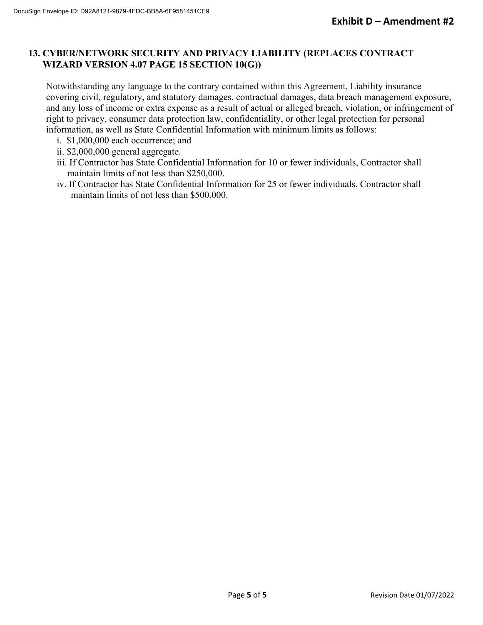# **13. CYBER/NETWORK SECURITY AND PRIVACY LIABILITY (REPLACES CONTRACT WIZARD VERSION 4.07 PAGE 15 SECTION 10(G))**

Notwithstanding any language to the contrary contained within this Agreement, Liability insurance covering civil, regulatory, and statutory damages, contractual damages, data breach management exposure, and any loss of income or extra expense as a result of actual or alleged breach, violation, or infringement of right to privacy, consumer data protection law, confidentiality, or other legal protection for personal information, as well as State Confidential Information with minimum limits as follows:

- i. \$1,000,000 each occurrence; and
- ii. \$2,000,000 general aggregate.
- iii. If Contractor has State Confidential Information for 10 or fewer individuals, Contractor shall maintain limits of not less than \$250,000.
- iv. If Contractor has State Confidential Information for 25 or fewer individuals, Contractor shall maintain limits of not less than \$500,000.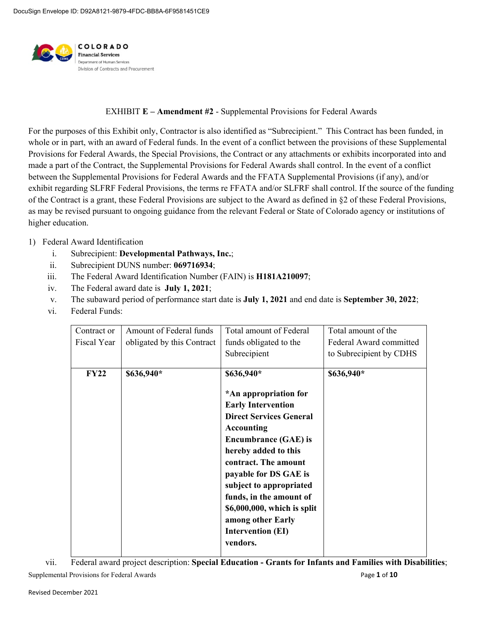

#### EXHIBIT **E – Amendment #2** - Supplemental Provisions for Federal Awards

For the purposes of this Exhibit only, Contractor is also identified as "Subrecipient." This Contract has been funded, in whole or in part, with an award of Federal funds. In the event of a conflict between the provisions of these Supplemental Provisions for Federal Awards, the Special Provisions, the Contract or any attachments or exhibits incorporated into and made a part of the Contract, the Supplemental Provisions for Federal Awards shall control. In the event of a conflict between the Supplemental Provisions for Federal Awards and the FFATA Supplemental Provisions (if any), and/or exhibit regarding SLFRF Federal Provisions, the terms re FFATA and/or SLFRF shall control. If the source of the funding of the Contract is a grant, these Federal Provisions are subject to the Award as defined in §2 of these Federal Provisions, as may be revised pursuant to ongoing guidance from the relevant Federal or State of Colorado agency or institutions of higher education.

#### 1) Federal Award Identification

- i. Subrecipient: **Developmental Pathways, Inc.**;
- ii. Subrecipient DUNS number: **069716934**;
- iii. The Federal Award Identification Number (FAIN) is **H181A210097**;
- iv. The Federal award date is **July 1, 2021**;
- v. The subaward period of performance start date is **July 1, 2021** and end date is **September 30, 2022**;
- vi. Federal Funds:

| Contract or<br>Fiscal Year | Amount of Federal funds<br>obligated by this Contract | Total amount of Federal<br>funds obligated to the<br>Subrecipient                                                                                                                                                                                                                                                                                                                 | Total amount of the<br>Federal Award committed<br>to Subrecipient by CDHS |
|----------------------------|-------------------------------------------------------|-----------------------------------------------------------------------------------------------------------------------------------------------------------------------------------------------------------------------------------------------------------------------------------------------------------------------------------------------------------------------------------|---------------------------------------------------------------------------|
| <b>FY22</b>                | \$636,940*                                            | \$636,940*<br>*An appropriation for<br><b>Early Intervention</b><br><b>Direct Services General</b><br><b>Accounting</b><br><b>Encumbrance (GAE) is</b><br>hereby added to this<br>contract. The amount<br>payable for DS GAE is<br>subject to appropriated<br>funds, in the amount of<br>\$6,000,000, which is split<br>among other Early<br><b>Intervention (EI)</b><br>vendors. | \$636,940*                                                                |

Supplemental Provisions for Federal Awards **Page 1** of **10** Page 1 of **10** vii. Federal award project description: **Special Education - Grants for Infants and Families with Disabilities**;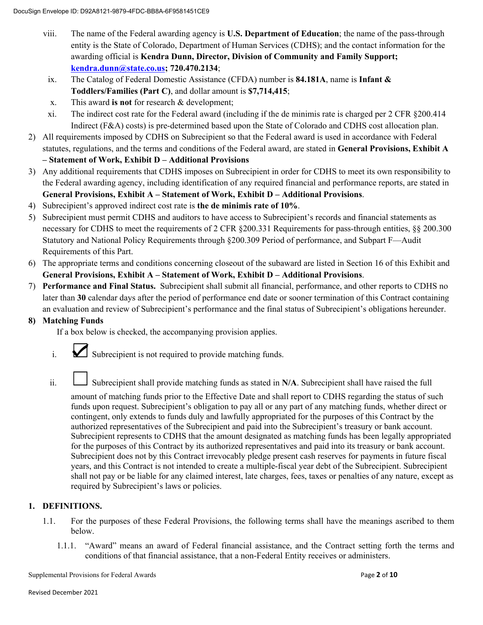- viii. The name of the Federal awarding agency is **U.S. Department of Education**; the name of the pass-through entity is the State of Colorado, Department of Human Services (CDHS); and the contact information for the awarding official is **Kendra Dunn, Director, Division of Community and Family Support; kendra.dunn@state.co.us; 720.470.2134**;
- ix. The Catalog of Federal Domestic Assistance (CFDA) number is **84.181A**, name is **Infant & Toddlers/Families (Part C)**, and dollar amount is **\$7,714,415**;
- x. This award **is not** for research & development;
- xi. The indirect cost rate for the Federal award (including if the de minimis rate is charged per 2 CFR §200.414 Indirect (F&A) costs) is pre-determined based upon the State of Colorado and CDHS cost allocation plan.
- 2) All requirements imposed by CDHS on Subrecipient so that the Federal award is used in accordance with Federal statutes, regulations, and the terms and conditions of the Federal award, are stated in **General Provisions, Exhibit A – Statement of Work, Exhibit D – Additional Provisions**
- 3) Any additional requirements that CDHS imposes on Subrecipient in order for CDHS to meet its own responsibility to the Federal awarding agency, including identification of any required financial and performance reports, are stated in **General Provisions, Exhibit A – Statement of Work, Exhibit D – Additional Provisions**.
- 4) Subrecipient's approved indirect cost rate is **the de minimis rate of 10%**.
- 5) Subrecipient must permit CDHS and auditors to have access to Subrecipient's records and financial statements as necessary for CDHS to meet the requirements of 2 CFR §200.331 Requirements for pass-through entities, §§ 200.300 Statutory and National Policy Requirements through §200.309 Period of performance, and Subpart F—Audit Requirements of this Part.
- 6) The appropriate terms and conditions concerning closeout of the subaward are listed in Section 16 of this Exhibit and **General Provisions, Exhibit A – Statement of Work, Exhibit D – Additional Provisions**.
- 7) **Performance and Final Status.** Subrecipient shall submit all financial, performance, and other reports to CDHS no later than **30** calendar days after the period of performance end date or sooner termination of this Contract containing an evaluation and review of Subrecipient's performance and the final status of Subrecipient's obligations hereunder.

#### **8) Matching Funds**

If a box below is checked, the accompanying provision applies.

- i. Subrecipient is not required to provide matching funds.
- ii. Subrecipient shall provide matching funds as stated in N/A. Subrecipient shall have raised the full

amount of matching funds prior to the Effective Date and shall report to CDHS regarding the status of such funds upon request. Subrecipient's obligation to pay all or any part of any matching funds, whether direct or contingent, only extends to funds duly and lawfully appropriated for the purposes of this Contract by the authorized representatives of the Subrecipient and paid into the Subrecipient's treasury or bank account. Subrecipient represents to CDHS that the amount designated as matching funds has been legally appropriated for the purposes of this Contract by its authorized representatives and paid into its treasury or bank account. Subrecipient does not by this Contract irrevocably pledge present cash reserves for payments in future fiscal years, and this Contract is not intended to create a multiple-fiscal year debt of the Subrecipient. Subrecipient shall not pay or be liable for any claimed interest, late charges, fees, taxes or penalties of any nature, except as required by Subrecipient's laws or policies.

# **1. DEFINITIONS.**

- 1.1. For the purposes of these Federal Provisions, the following terms shall have the meanings ascribed to them below.
	- 1.1.1. "Award" means an award of Federal financial assistance, and the Contract setting forth the terms and conditions of that financial assistance, that a non-Federal Entity receives or administers.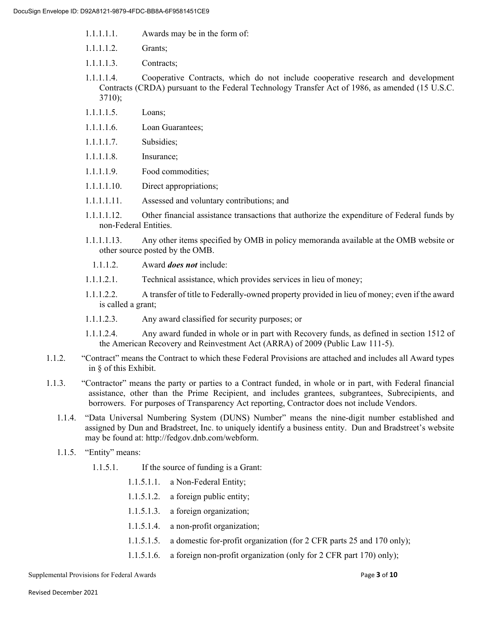- 1.1.1.1.1. Awards may be in the form of:
- 1.1.1.1.2. Grants;
- 1.1.1.1.3. Contracts;
- 1.1.1.1.4. Cooperative Contracts, which do not include cooperative research and development Contracts (CRDA) pursuant to the Federal Technology Transfer Act of 1986, as amended (15 U.S.C. 3710);
- 1.1.1.1.5. Loans;
- 1.1.1.1.6. Loan Guarantees;
- 1.1.1.1.7. Subsidies;
- 1.1.1.1.8. Insurance;
- 1.1.1.1.9. Food commodities;
- 1.1.1.1.10. Direct appropriations;
- 1.1.1.1.11. Assessed and voluntary contributions; and
- 1.1.1.1.12. Other financial assistance transactions that authorize the expenditure of Federal funds by non-Federal Entities.
- 1.1.1.1.13. Any other items specified by OMB in policy memoranda available at the OMB website or other source posted by the OMB.
	- 1.1.1.2. Award *does not* include:
- 1.1.1.2.1. Technical assistance, which provides services in lieu of money;
- 1.1.1.2.2. A transfer of title to Federally-owned property provided in lieu of money; even if the award is called a grant;
- 1.1.1.2.3. Any award classified for security purposes; or
- 1.1.1.2.4. Any award funded in whole or in part with Recovery funds, as defined in section 1512 of the American Recovery and Reinvestment Act (ARRA) of 2009 (Public Law 111-5).
- 1.1.2. "Contract" means the Contract to which these Federal Provisions are attached and includes all Award types in § of this Exhibit.
- 1.1.3. "Contractor" means the party or parties to a Contract funded, in whole or in part, with Federal financial assistance, other than the Prime Recipient, and includes grantees, subgrantees, Subrecipients, and borrowers. For purposes of Transparency Act reporting, Contractor does not include Vendors.
	- 1.1.4. "Data Universal Numbering System (DUNS) Number" means the nine-digit number established and assigned by Dun and Bradstreet, Inc. to uniquely identify a business entity. Dun and Bradstreet's website may be found at: http://fedgov.dnb.com/webform.
	- 1.1.5. "Entity" means:
		- 1.1.5.1. If the source of funding is a Grant:
			- 1.1.5.1.1. a Non-Federal Entity;
			- 1.1.5.1.2. a foreign public entity;
			- 1.1.5.1.3. a foreign organization;
			- 1.1.5.1.4. a non-profit organization;
			- 1.1.5.1.5. a domestic for-profit organization (for 2 CFR parts 25 and 170 only);
			- 1.1.5.1.6. a foreign non-profit organization (only for 2 CFR part 170) only);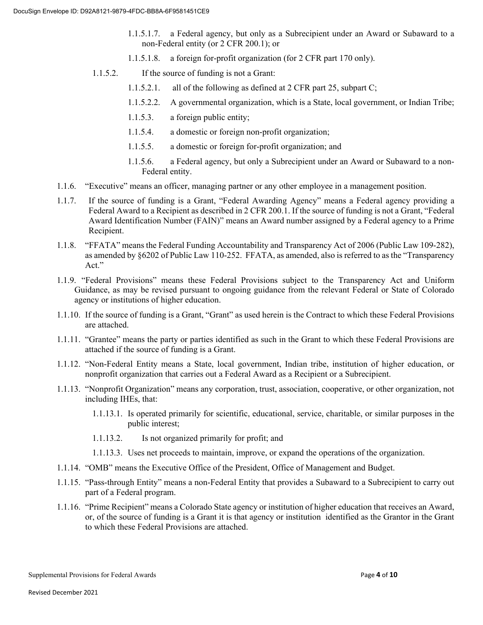- 1.1.5.1.7. a Federal agency, but only as a Subrecipient under an Award or Subaward to a non-Federal entity (or 2 CFR 200.1); or
- 1.1.5.1.8. a foreign for-profit organization (for 2 CFR part 170 only).
- 1.1.5.2. If the source of funding is not a Grant:
	- 1.1.5.2.1. all of the following as defined at 2 CFR part 25, subpart C;
	- 1.1.5.2.2. A governmental organization, which is a State, local government, or Indian Tribe;
	- 1.1.5.3. a foreign public entity;
	- 1.1.5.4. a domestic or foreign non-profit organization;
	- 1.1.5.5. a domestic or foreign for-profit organization; and
	- 1.1.5.6. a Federal agency, but only a Subrecipient under an Award or Subaward to a non-Federal entity.
- 1.1.6. "Executive" means an officer, managing partner or any other employee in a management position.
- 1.1.7. If the source of funding is a Grant, "Federal Awarding Agency" means a Federal agency providing a Federal Award to a Recipient as described in 2 CFR 200.1. If the source of funding is not a Grant, "Federal Award Identification Number (FAIN)" means an Award number assigned by a Federal agency to a Prime Recipient.
- 1.1.8. "FFATA" means the Federal Funding Accountability and Transparency Act of 2006 (Public Law 109-282), as amended by §6202 of Public Law 110-252. FFATA, as amended, also is referred to as the "Transparency Act."
- 1.1.9. "Federal Provisions" means these Federal Provisions subject to the Transparency Act and Uniform Guidance, as may be revised pursuant to ongoing guidance from the relevant Federal or State of Colorado agency or institutions of higher education.
- 1.1.10. If the source of funding is a Grant, "Grant" as used herein is the Contract to which these Federal Provisions are attached.
- 1.1.11. "Grantee" means the party or parties identified as such in the Grant to which these Federal Provisions are attached if the source of funding is a Grant.
- 1.1.12. "Non-Federal Entity means a State, local government, Indian tribe, institution of higher education, or nonprofit organization that carries out a Federal Award as a Recipient or a Subrecipient.
- 1.1.13. "Nonprofit Organization" means any corporation, trust, association, cooperative, or other organization, not including IHEs, that:
	- 1.1.13.1. Is operated primarily for scientific, educational, service, charitable, or similar purposes in the public interest;
	- 1.1.13.2. Is not organized primarily for profit; and
	- 1.1.13.3. Uses net proceeds to maintain, improve, or expand the operations of the organization.
- 1.1.14. "OMB" means the Executive Office of the President, Office of Management and Budget.
- 1.1.15. "Pass-through Entity" means a non-Federal Entity that provides a Subaward to a Subrecipient to carry out part of a Federal program.
- 1.1.16. "Prime Recipient" means a Colorado State agency or institution of higher education that receives an Award, or, of the source of funding is a Grant it is that agency or institution identified as the Grantor in the Grant to which these Federal Provisions are attached.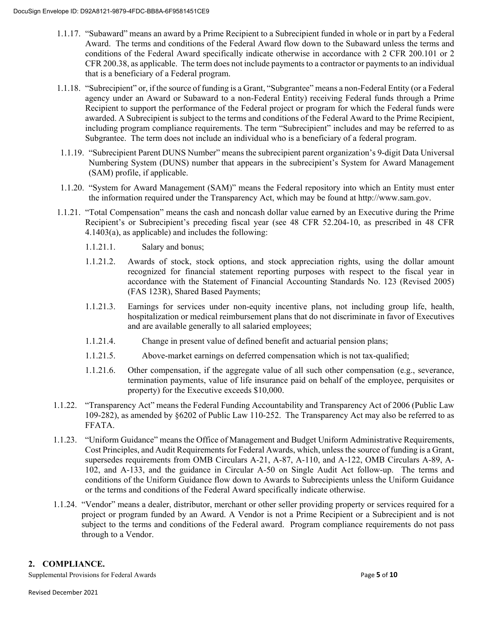- 1.1.17. "Subaward" means an award by a Prime Recipient to a Subrecipient funded in whole or in part by a Federal Award. The terms and conditions of the Federal Award flow down to the Subaward unless the terms and conditions of the Federal Award specifically indicate otherwise in accordance with 2 CFR 200.101 or 2 CFR 200.38, as applicable. The term does not include payments to a contractor or payments to an individual that is a beneficiary of a Federal program.
- 1.1.18. "Subrecipient" or, if the source of funding is a Grant, "Subgrantee" means a non-Federal Entity (or a Federal agency under an Award or Subaward to a non-Federal Entity) receiving Federal funds through a Prime Recipient to support the performance of the Federal project or program for which the Federal funds were awarded. A Subrecipient is subject to the terms and conditions of the Federal Award to the Prime Recipient, including program compliance requirements. The term "Subrecipient" includes and may be referred to as Subgrantee. The term does not include an individual who is a beneficiary of a federal program.
- 1.1.19. "Subrecipient Parent DUNS Number" means the subrecipient parent organization's 9-digit Data Universal Numbering System (DUNS) number that appears in the subrecipient's System for Award Management (SAM) profile, if applicable.
- 1.1.20. "System for Award Management (SAM)" means the Federal repository into which an Entity must enter the information required under the Transparency Act, which may be found at http://www.sam.gov.
- 1.1.21. "Total Compensation" means the cash and noncash dollar value earned by an Executive during the Prime Recipient's or Subrecipient's preceding fiscal year (see 48 CFR 52.204-10, as prescribed in 48 CFR 4.1403(a), as applicable) and includes the following:
	- 1.1.21.1. Salary and bonus;
	- 1.1.21.2. Awards of stock, stock options, and stock appreciation rights, using the dollar amount recognized for financial statement reporting purposes with respect to the fiscal year in accordance with the Statement of Financial Accounting Standards No. 123 (Revised 2005) (FAS 123R), Shared Based Payments;
	- 1.1.21.3. Earnings for services under non-equity incentive plans, not including group life, health, hospitalization or medical reimbursement plans that do not discriminate in favor of Executives and are available generally to all salaried employees;
	- 1.1.21.4. Change in present value of defined benefit and actuarial pension plans;
	- 1.1.21.5. Above-market earnings on deferred compensation which is not tax-qualified;
	- 1.1.21.6. Other compensation, if the aggregate value of all such other compensation (e.g., severance, termination payments, value of life insurance paid on behalf of the employee, perquisites or property) for the Executive exceeds \$10,000.
- 1.1.22. "Transparency Act" means the Federal Funding Accountability and Transparency Act of 2006 (Public Law 109-282), as amended by §6202 of Public Law 110-252. The Transparency Act may also be referred to as FFATA.
- 1.1.23. "Uniform Guidance" means the Office of Management and Budget Uniform Administrative Requirements, Cost Principles, and Audit Requirements for Federal Awards, which, unless the source of funding is a Grant, supersedes requirements from OMB Circulars A-21, A-87, A-110, and A-122, OMB Circulars A-89, A-102, and A-133, and the guidance in Circular A-50 on Single Audit Act follow-up. The terms and conditions of the Uniform Guidance flow down to Awards to Subrecipients unless the Uniform Guidance or the terms and conditions of the Federal Award specifically indicate otherwise.
- 1.1.24. "Vendor" means a dealer, distributor, merchant or other seller providing property or services required for a project or program funded by an Award. A Vendor is not a Prime Recipient or a Subrecipient and is not subject to the terms and conditions of the Federal award. Program compliance requirements do not pass through to a Vendor.

#### **2. COMPLIANCE.**

Supplemental Provisions for Federal Awards **Page 5** of 10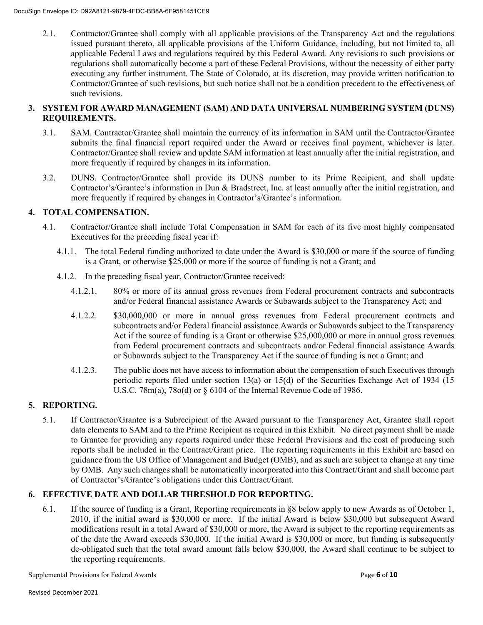2.1. Contractor/Grantee shall comply with all applicable provisions of the Transparency Act and the regulations issued pursuant thereto, all applicable provisions of the Uniform Guidance, including, but not limited to, all applicable Federal Laws and regulations required by this Federal Award. Any revisions to such provisions or regulations shall automatically become a part of these Federal Provisions, without the necessity of either party executing any further instrument. The State of Colorado, at its discretion, may provide written notification to Contractor/Grantee of such revisions, but such notice shall not be a condition precedent to the effectiveness of such revisions.

### **3. SYSTEM FOR AWARD MANAGEMENT (SAM) AND DATA UNIVERSAL NUMBERING SYSTEM (DUNS) REQUIREMENTS.**

- 3.1. SAM. Contractor/Grantee shall maintain the currency of its information in SAM until the Contractor/Grantee submits the final financial report required under the Award or receives final payment, whichever is later. Contractor/Grantee shall review and update SAM information at least annually after the initial registration, and more frequently if required by changes in its information.
- 3.2. DUNS. Contractor/Grantee shall provide its DUNS number to its Prime Recipient, and shall update Contractor's/Grantee's information in Dun & Bradstreet, Inc. at least annually after the initial registration, and more frequently if required by changes in Contractor's/Grantee's information.

# **4. TOTAL COMPENSATION.**

- 4.1. Contractor/Grantee shall include Total Compensation in SAM for each of its five most highly compensated Executives for the preceding fiscal year if:
	- 4.1.1. The total Federal funding authorized to date under the Award is \$30,000 or more if the source of funding is a Grant, or otherwise \$25,000 or more if the source of funding is not a Grant; and
	- 4.1.2. In the preceding fiscal year, Contractor/Grantee received:
		- 4.1.2.1. 80% or more of its annual gross revenues from Federal procurement contracts and subcontracts and/or Federal financial assistance Awards or Subawards subject to the Transparency Act; and
		- 4.1.2.2. \$30,000,000 or more in annual gross revenues from Federal procurement contracts and subcontracts and/or Federal financial assistance Awards or Subawards subject to the Transparency Act if the source of funding is a Grant or otherwise \$25,000,000 or more in annual gross revenues from Federal procurement contracts and subcontracts and/or Federal financial assistance Awards or Subawards subject to the Transparency Act if the source of funding is not a Grant; and
		- 4.1.2.3. The public does not have access to information about the compensation of such Executives through periodic reports filed under section 13(a) or 15(d) of the Securities Exchange Act of 1934 (15 U.S.C. 78m(a), 78o(d) or § 6104 of the Internal Revenue Code of 1986.

# **5. REPORTING.**

5.1. If Contractor/Grantee is a Subrecipient of the Award pursuant to the Transparency Act, Grantee shall report data elements to SAM and to the Prime Recipient as required in this Exhibit. No direct payment shall be made to Grantee for providing any reports required under these Federal Provisions and the cost of producing such reports shall be included in the Contract/Grant price. The reporting requirements in this Exhibit are based on guidance from the US Office of Management and Budget (OMB), and as such are subject to change at any time by OMB. Any such changes shall be automatically incorporated into this Contract/Grant and shall become part of Contractor's/Grantee's obligations under this Contract/Grant.

# **6. EFFECTIVE DATE AND DOLLAR THRESHOLD FOR REPORTING.**

6.1. If the source of funding is a Grant, Reporting requirements in §8 below apply to new Awards as of October 1, 2010, if the initial award is \$30,000 or more. If the initial Award is below \$30,000 but subsequent Award modifications result in a total Award of \$30,000 or more, the Award is subject to the reporting requirements as of the date the Award exceeds \$30,000. If the initial Award is \$30,000 or more, but funding is subsequently de-obligated such that the total award amount falls below \$30,000, the Award shall continue to be subject to the reporting requirements.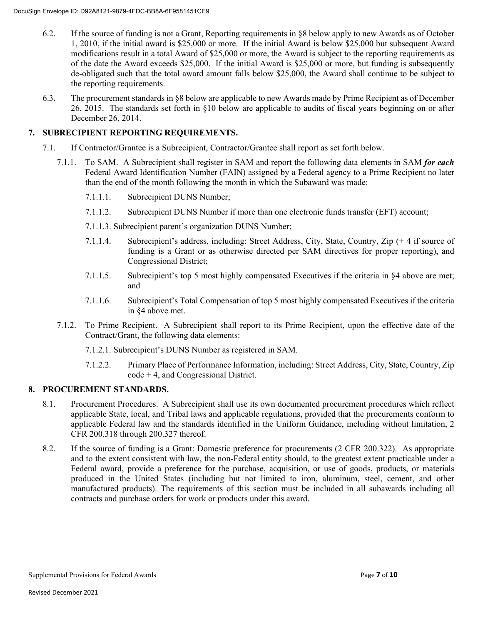- 6.2. If the source of funding is not a Grant, Reporting requirements in §8 below apply to new Awards as of October 1, 2010, if the initial award is \$25,000 or more. If the initial Award is below \$25,000 but subsequent Award modifications result in a total Award of \$25,000 or more, the Award is subject to the reporting requirements as of the date the Award exceeds \$25,000. If the initial Award is \$25,000 or more, but funding is subsequently de-obligated such that the total award amount falls below \$25,000, the Award shall continue to be subject to the reporting requirements.
- 6.3. The procurement standards in §8 below are applicable to new Awards made by Prime Recipient as of December 26, 2015. The standards set forth in §10 below are applicable to audits of fiscal years beginning on or after December 26, 2014.

### **7. SUBRECIPIENT REPORTING REQUIREMENTS.**

- 7.1. If Contractor/Grantee is a Subrecipient, Contractor/Grantee shall report as set forth below.
	- 7.1.1. To SAM. A Subrecipient shall register in SAM and report the following data elements in SAM *for each* Federal Award Identification Number (FAIN) assigned by a Federal agency to a Prime Recipient no later than the end of the month following the month in which the Subaward was made:
		- 7.1.1.1. Subrecipient DUNS Number;
		- 7.1.1.2. Subrecipient DUNS Number if more than one electronic funds transfer (EFT) account;
		- 7.1.1.3. Subrecipient parent's organization DUNS Number;
		- 7.1.1.4. Subrecipient's address, including: Street Address, City, State, Country, Zip (+ 4 if source of funding is a Grant or as otherwise directed per SAM directives for proper reporting), and Congressional District;
		- 7.1.1.5. Subrecipient's top 5 most highly compensated Executives if the criteria in §4 above are met; and
		- 7.1.1.6. Subrecipient's Total Compensation of top 5 most highly compensated Executives if the criteria in §4 above met.
	- 7.1.2. To Prime Recipient. A Subrecipient shall report to its Prime Recipient, upon the effective date of the Contract/Grant, the following data elements:
		- 7.1.2.1. Subrecipient's DUNS Number as registered in SAM.
		- 7.1.2.2. Primary Place of Performance Information, including: Street Address, City, State, Country, Zip code + 4, and Congressional District.

#### **8. PROCUREMENT STANDARDS.**

- 8.1. Procurement Procedures. A Subrecipient shall use its own documented procurement procedures which reflect applicable State, local, and Tribal laws and applicable regulations, provided that the procurements conform to applicable Federal law and the standards identified in the Uniform Guidance, including without limitation, 2 CFR 200.318 through 200.327 thereof.
- 8.2. If the source of funding is a Grant: Domestic preference for procurements (2 CFR 200.322). As appropriate and to the extent consistent with law, the non-Federal entity should, to the greatest extent practicable under a Federal award, provide a preference for the purchase, acquisition, or use of goods, products, or materials produced in the United States (including but not limited to iron, aluminum, steel, cement, and other manufactured products). The requirements of this section must be included in all subawards including all contracts and purchase orders for work or products under this award.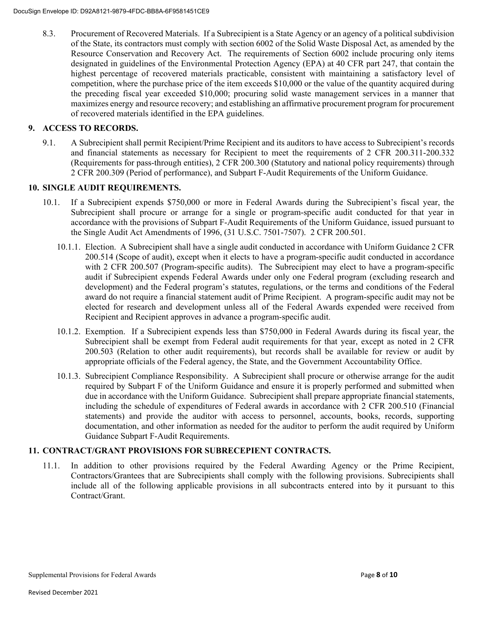8.3. Procurement of Recovered Materials. If a Subrecipient is a State Agency or an agency of a political subdivision of the State, its contractors must comply with section 6002 of the Solid Waste Disposal Act, as amended by the Resource Conservation and Recovery Act. The requirements of Section 6002 include procuring only items designated in guidelines of the Environmental Protection Agency (EPA) at 40 CFR part 247, that contain the highest percentage of recovered materials practicable, consistent with maintaining a satisfactory level of competition, where the purchase price of the item exceeds \$10,000 or the value of the quantity acquired during the preceding fiscal year exceeded \$10,000; procuring solid waste management services in a manner that maximizes energy and resource recovery; and establishing an affirmative procurement program for procurement of recovered materials identified in the EPA guidelines.

#### **9. ACCESS TO RECORDS.**

9.1. A Subrecipient shall permit Recipient/Prime Recipient and its auditors to have access to Subrecipient's records and financial statements as necessary for Recipient to meet the requirements of 2 CFR 200.311-200.332 (Requirements for pass-through entities), 2 CFR 200.300 (Statutory and national policy requirements) through 2 CFR 200.309 (Period of performance), and Subpart F-Audit Requirements of the Uniform Guidance.

#### **10. SINGLE AUDIT REQUIREMENTS.**

- 10.1. If a Subrecipient expends \$750,000 or more in Federal Awards during the Subrecipient's fiscal year, the Subrecipient shall procure or arrange for a single or program-specific audit conducted for that year in accordance with the provisions of Subpart F-Audit Requirements of the Uniform Guidance, issued pursuant to the Single Audit Act Amendments of 1996, (31 U.S.C. 7501-7507). 2 CFR 200.501.
	- 10.1.1. Election. A Subrecipient shall have a single audit conducted in accordance with Uniform Guidance 2 CFR 200.514 (Scope of audit), except when it elects to have a program-specific audit conducted in accordance with 2 CFR 200.507 (Program-specific audits). The Subrecipient may elect to have a program-specific audit if Subrecipient expends Federal Awards under only one Federal program (excluding research and development) and the Federal program's statutes, regulations, or the terms and conditions of the Federal award do not require a financial statement audit of Prime Recipient. A program-specific audit may not be elected for research and development unless all of the Federal Awards expended were received from Recipient and Recipient approves in advance a program-specific audit.
	- 10.1.2. Exemption. If a Subrecipient expends less than \$750,000 in Federal Awards during its fiscal year, the Subrecipient shall be exempt from Federal audit requirements for that year, except as noted in 2 CFR 200.503 (Relation to other audit requirements), but records shall be available for review or audit by appropriate officials of the Federal agency, the State, and the Government Accountability Office.
	- 10.1.3. Subrecipient Compliance Responsibility. A Subrecipient shall procure or otherwise arrange for the audit required by Subpart F of the Uniform Guidance and ensure it is properly performed and submitted when due in accordance with the Uniform Guidance. Subrecipient shall prepare appropriate financial statements, including the schedule of expenditures of Federal awards in accordance with 2 CFR 200.510 (Financial statements) and provide the auditor with access to personnel, accounts, books, records, supporting documentation, and other information as needed for the auditor to perform the audit required by Uniform Guidance Subpart F-Audit Requirements.

#### **11. CONTRACT/GRANT PROVISIONS FOR SUBRECEPIENT CONTRACTS.**

11.1. In addition to other provisions required by the Federal Awarding Agency or the Prime Recipient, Contractors/Grantees that are Subrecipients shall comply with the following provisions. Subrecipients shall include all of the following applicable provisions in all subcontracts entered into by it pursuant to this Contract/Grant.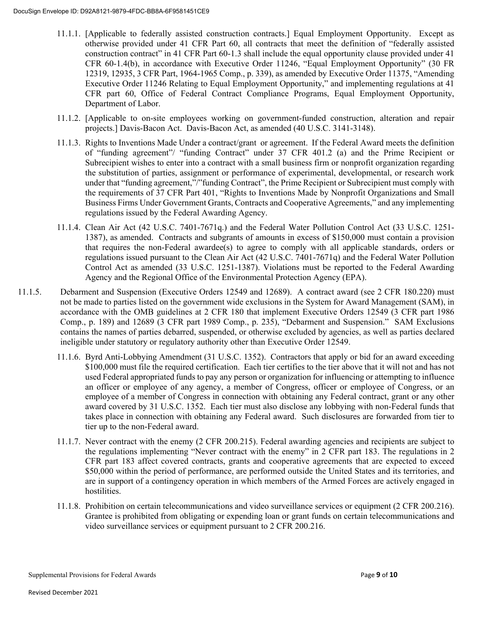- 11.1.1. [Applicable to federally assisted construction contracts.] Equal Employment Opportunity. Except as otherwise provided under 41 CFR Part 60, all contracts that meet the definition of "federally assisted construction contract" in 41 CFR Part 60-1.3 shall include the equal opportunity clause provided under 41 CFR 60-1.4(b), in accordance with Executive Order 11246, "Equal Employment Opportunity" (30 FR 12319, 12935, 3 CFR Part, 1964-1965 Comp., p. 339), as amended by Executive Order 11375, "Amending Executive Order 11246 Relating to Equal Employment Opportunity," and implementing regulations at 41 CFR part 60, Office of Federal Contract Compliance Programs, Equal Employment Opportunity, Department of Labor.
- 11.1.2. [Applicable to on-site employees working on government-funded construction, alteration and repair projects.] Davis-Bacon Act. Davis-Bacon Act, as amended (40 U.S.C. 3141-3148).
- 11.1.3. Rights to Inventions Made Under a contract/grant or agreement. If the Federal Award meets the definition of "funding agreement"/ "funding Contract" under 37 CFR 401.2 (a) and the Prime Recipient or Subrecipient wishes to enter into a contract with a small business firm or nonprofit organization regarding the substitution of parties, assignment or performance of experimental, developmental, or research work under that "funding agreement,"/"funding Contract", the Prime Recipient or Subrecipient must comply with the requirements of 37 CFR Part 401, "Rights to Inventions Made by Nonprofit Organizations and Small Business Firms Under Government Grants, Contracts and Cooperative Agreements," and any implementing regulations issued by the Federal Awarding Agency.
- 11.1.4. Clean Air Act (42 U.S.C. 7401-7671q.) and the Federal Water Pollution Control Act (33 U.S.C. 1251- 1387), as amended. Contracts and subgrants of amounts in excess of \$150,000 must contain a provision that requires the non-Federal awardee(s) to agree to comply with all applicable standards, orders or regulations issued pursuant to the Clean Air Act (42 U.S.C. 7401-7671q) and the Federal Water Pollution Control Act as amended (33 U.S.C. 1251-1387). Violations must be reported to the Federal Awarding Agency and the Regional Office of the Environmental Protection Agency (EPA).
- 11.1.5. Debarment and Suspension (Executive Orders 12549 and 12689). A contract award (see 2 CFR 180.220) must not be made to parties listed on the government wide exclusions in the System for Award Management (SAM), in accordance with the OMB guidelines at 2 CFR 180 that implement Executive Orders 12549 (3 CFR part 1986 Comp., p. 189) and 12689 (3 CFR part 1989 Comp., p. 235), "Debarment and Suspension." SAM Exclusions contains the names of parties debarred, suspended, or otherwise excluded by agencies, as well as parties declared ineligible under statutory or regulatory authority other than Executive Order 12549.
	- 11.1.6. Byrd Anti-Lobbying Amendment (31 U.S.C. 1352). Contractors that apply or bid for an award exceeding \$100,000 must file the required certification. Each tier certifies to the tier above that it will not and has not used Federal appropriated funds to pay any person or organization for influencing or attempting to influence an officer or employee of any agency, a member of Congress, officer or employee of Congress, or an employee of a member of Congress in connection with obtaining any Federal contract, grant or any other award covered by 31 U.S.C. 1352. Each tier must also disclose any lobbying with non-Federal funds that takes place in connection with obtaining any Federal award. Such disclosures are forwarded from tier to tier up to the non-Federal award.
	- 11.1.7. Never contract with the enemy (2 CFR 200.215). Federal awarding agencies and recipients are subject to the regulations implementing "Never contract with the enemy" in 2 CFR part 183. The regulations in 2 CFR part 183 affect covered contracts, grants and cooperative agreements that are expected to exceed \$50,000 within the period of performance, are performed outside the United States and its territories, and are in support of a contingency operation in which members of the Armed Forces are actively engaged in hostilities.
	- 11.1.8. Prohibition on certain telecommunications and video surveillance services or equipment (2 CFR 200.216). Grantee is prohibited from obligating or expending loan or grant funds on certain telecommunications and video surveillance services or equipment pursuant to 2 CFR 200.216.